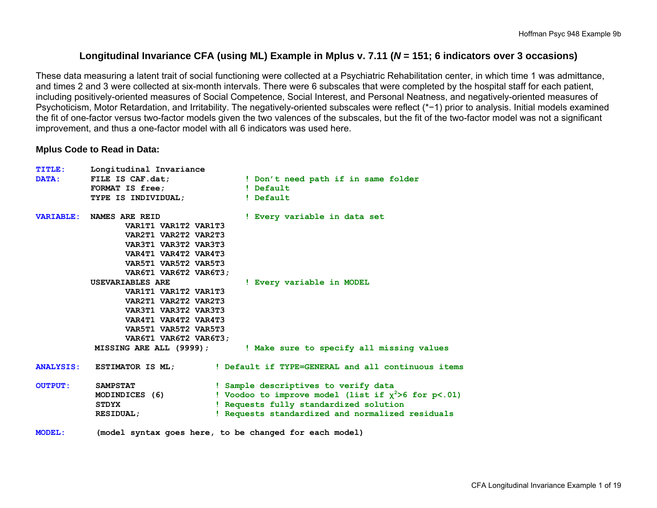# **Longitudinal Invariance CFA (using ML) Example in Mplus v. 7.11 (***N* **= 151; 6 indicators over 3 occasions)**

These data measuring a latent trait of social functioning were collected at a Psychiatric Rehabilitation center, in which time 1 was admittance, and times 2 and 3 were collected at six-month intervals. There were 6 subscales that were completed by the hospital staff for each patient, including positively-oriented measures of Social Competence, Social Interest, and Personal Neatness, and negatively-oriented measures of Psychoticism, Motor Retardation, and Irritability. The negatively-oriented subscales were reflect (\*−1) prior to analysis. Initial models examined the fit of one-factor versus two-factor models given the two valences of the subscales, but the fit of the two-factor model was not a significant improvement, and thus a one-factor model with all 6 indicators was used here.

#### **Mplus Code to Read in Data:**

| <b>TITLE:</b>  | Longitudinal Invariance         |                                                                             |
|----------------|---------------------------------|-----------------------------------------------------------------------------|
| DATA:          | FILE IS CAF.dat;                | ! Don't need path if in same folder                                         |
|                | <b>FORMAT IS free;</b>          | ! Default                                                                   |
|                | TYPE IS INDIVIDUAL;             | ! Default                                                                   |
|                | <b>VARIABLE: NAMES ARE REID</b> | ! Every variable in data set                                                |
|                | VAR1T1 VAR1T2 VAR1T3            |                                                                             |
|                | VAR2T1 VAR2T2 VAR2T3            |                                                                             |
|                | VAR3T1 VAR3T2 VAR3T3            |                                                                             |
|                | VAR4T1 VAR4T2 VAR4T3            |                                                                             |
|                | VAR5T1 VAR5T2 VAR5T3            |                                                                             |
|                | VAR6T1 VAR6T2 VAR6T3;           |                                                                             |
|                | <b>USEVARIABLES ARE</b>         | ! Every variable in MODEL                                                   |
|                | VAR1T1 VAR1T2 VAR1T3            |                                                                             |
|                | VAR2T1 VAR2T2 VAR2T3            |                                                                             |
|                | VAR3T1 VAR3T2 VAR3T3            |                                                                             |
|                | VAR4T1 VAR4T2 VAR4T3            |                                                                             |
|                | VAR5T1 VAR5T2 VAR5T3            |                                                                             |
|                | VAR6T1 VAR6T2 VAR6T3;           |                                                                             |
|                |                                 | MISSING ARE ALL (9999); The Make sure to specify all missing values         |
|                |                                 | ANALYSIS: ESTIMATOR IS ML; lefault if TYPE=GENERAL and all continuous items |
| <b>OUTPUT:</b> | <b>SAMPSTAT</b>                 | ! Sample descriptives to verify data                                        |
|                | MODINDICES (6)                  | ! Voodoo to improve model (list if $\chi^2$ >6 for p<.01)                   |
|                | <b>STDYX</b>                    | ! Requests fully standardized solution                                      |
|                | <b>RESIDUAL;</b>                | ! Requests standardized and normalized residuals                            |
|                |                                 |                                                                             |

**MODEL: (model syntax goes here, to be changed for each model)**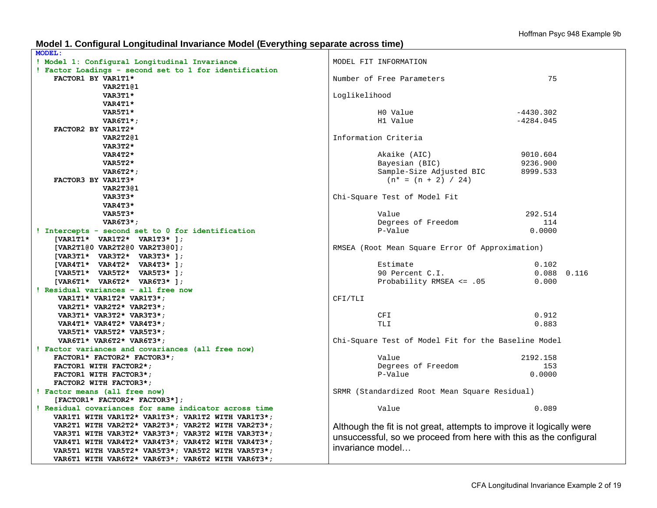#### **Model 1. Configural Longitudinal Invariance Model (Everything separate across time)**

| <b>MODEL:</b>                                          |                                                                      |                 |
|--------------------------------------------------------|----------------------------------------------------------------------|-----------------|
| ! Model 1: Configural Longitudinal Invariance          | MODEL FIT INFORMATION                                                |                 |
| ! Factor Loadings - second set to 1 for identification |                                                                      |                 |
| FACTOR1 BY VAR1T1*                                     | Number of Free Parameters                                            | 75              |
| VAR2T1@1                                               |                                                                      |                 |
| VAR3T1*                                                | Loglikelihood                                                        |                 |
| VAR4T1*                                                |                                                                      |                 |
| VAR5T1*                                                | HO Value                                                             | $-4430.302$     |
| $VART1$ *;                                             | H1 Value                                                             | $-4284.045$     |
| FACTOR2 BY VAR1T2*                                     |                                                                      |                 |
| VAR2T2@1                                               | Information Criteria                                                 |                 |
| VAR3T2*                                                |                                                                      |                 |
| VAR4T2*                                                | Akaike (AIC)                                                         | 9010.604        |
| VAR5T2*                                                |                                                                      | 9236.900        |
|                                                        | Bayesian (BIC)                                                       |                 |
| $VART2*$                                               | Sample-Size Adjusted BIC                                             | 8999.533        |
| FACTOR3 BY VAR1T3*                                     | $(n* = (n + 2) / 24)$                                                |                 |
| VAR2T3@1                                               |                                                                      |                 |
| VAR3T3*                                                | Chi-Square Test of Model Fit                                         |                 |
| VAR4T3*                                                |                                                                      |                 |
| VAR5T3*                                                | Value                                                                | 292.514         |
| VAR6T3*;                                               | Degrees of Freedom                                                   | 114             |
| ! Intercepts - second set to 0 for identification      | P-Value                                                              | 0.0000          |
| [VAR1T1* VAR1T2* VAR1T3* ];                            |                                                                      |                 |
| [VAR2T1@0 VAR2T2@0 VAR2T3@0];                          | RMSEA (Root Mean Square Error Of Approximation)                      |                 |
| [VAR3T1* VAR3T2* VAR3T3* ];                            |                                                                      |                 |
| [VAR4T1* VAR4T2* VAR4T3* ];                            | Estimate                                                             | 0.102           |
| $[VAR5T1* VAR5T2* VAR5T3*];$                           | 90 Percent C.I.                                                      | $0.088$ $0.116$ |
| [VAR6T1* VAR6T2* VAR6T3* ];                            | Probability RMSEA $\leq$ .05                                         | 0.000           |
| ! Residual variances - all free now                    |                                                                      |                 |
| VAR1T1* VAR1T2* VAR1T3*;                               | CFI/TLI                                                              |                 |
| VAR2T1* VAR2T2* VAR2T3*;                               |                                                                      |                 |
| VAR3T1* VAR3T2* VAR3T3*;                               | CFI                                                                  | 0.912           |
| VAR4T1* VAR4T2* VAR4T3*;                               | <b>TLI</b>                                                           | 0.883           |
| VAR5T1* VAR5T2* VAR5T3*;                               |                                                                      |                 |
| VAR6T1* VAR6T2* VAR6T3*;                               | Chi-Square Test of Model Fit for the Baseline Model                  |                 |
| ! Factor variances and covariances (all free now)      |                                                                      |                 |
| FACTOR1* FACTOR2* FACTOR3*;                            | Value                                                                | 2192.158        |
| FACTOR1 WITH FACTOR2*;                                 | Degrees of Freedom                                                   | 153             |
| FACTOR1 WITH FACTOR3*;                                 | P-Value                                                              | 0.0000          |
| FACTOR2 WITH FACTOR3*;                                 |                                                                      |                 |
| ! Factor means (all free now)                          | SRMR (Standardized Root Mean Square Residual)                        |                 |
| [FACTOR1* FACTOR2* FACTOR3*];                          |                                                                      |                 |
| ! Residual covariances for same indicator across time  | Value                                                                | 0.089           |
| VAR1T1 WITH VAR1T2* VAR1T3*; VAR1T2 WITH VAR1T3*;      |                                                                      |                 |
| VAR2T1 WITH VAR2T2* VAR2T3*; VAR2T2 WITH VAR2T3*;      | Although the fit is not great, attempts to improve it logically were |                 |
| VAR3T1 WITH VAR3T2* VAR3T3*; VAR3T2 WITH VAR3T3*;      |                                                                      |                 |
| VAR4T1 WITH VAR4T2* VAR4T3*; VAR4T2 WITH VAR4T3*;      | unsuccessful, so we proceed from here with this as the configural    |                 |
| VAR5T1 WITH VAR5T2* VAR5T3*; VAR5T2 WITH VAR5T3*;      | invariance model                                                     |                 |
| VAR6T1 WITH VAR6T2* VAR6T3*; VAR6T2 WITH VAR6T3*;      |                                                                      |                 |
|                                                        |                                                                      |                 |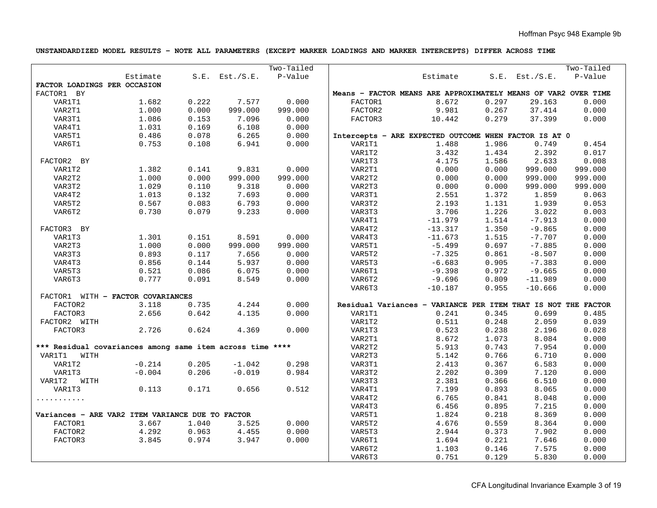#### **UNSTANDARDIZED MODEL RESULTS – NOTE ALL PARAMETERS (EXCEPT MARKER LOADINGS AND MARKER INTERCEPTS) DIFFER ACROSS TIME**

|                                                           |          |       |                        | Two-Tailed |         |                                                                |       |                     | Two-Tailed |
|-----------------------------------------------------------|----------|-------|------------------------|------------|---------|----------------------------------------------------------------|-------|---------------------|------------|
|                                                           | Estimate |       | S.E. Est./S.E. P-Value |            |         | Estimate                                                       |       | $S.E.$ Est./ $S.E.$ | P-Value    |
| FACTOR LOADINGS PER OCCASION                              |          |       |                        |            |         |                                                                |       |                     |            |
| FACTOR1 BY                                                |          |       |                        |            |         | Means - FACTOR MEANS ARE APPROXIMATELY MEANS OF VAR2 OVER TIME |       |                     |            |
| VAR1T1                                                    | 1.682    | 0.222 | 7.577                  | 0.000      | FACTOR1 | 8.672                                                          | 0.297 | 29.163              | 0.000      |
| VAR2T1                                                    | 1.000    | 0.000 | 999.000                | 999.000    | FACTOR2 | 9.981                                                          | 0.267 | 37.414              | 0.000      |
| VAR3T1                                                    | 1.086    | 0.153 | 7.096                  | 0.000      | FACTOR3 | 10.442                                                         | 0.279 | 37.399              | 0.000      |
| VAR4T1                                                    | 1.031    | 0.169 | 6.108                  | 0.000      |         |                                                                |       |                     |            |
| VAR5T1                                                    | 0.486    | 0.078 | 6.265                  | 0.000      |         | Intercepts - ARE EXPECTED OUTCOME WHEN FACTOR IS AT 0          |       |                     |            |
| VAR6T1                                                    | 0.753    | 0.108 | 6.941                  | 0.000      | VAR1T1  | 1.488                                                          | 1.986 | 0.749               | 0.454      |
|                                                           |          |       |                        |            | VAR1T2  | 3.432                                                          | 1.434 | 2.392               | 0.017      |
| FACTOR2 BY                                                |          |       |                        |            | VAR1T3  | 4.175                                                          | 1.586 | 2.633               | 0.008      |
| VAR1T2                                                    | 1.382    | 0.141 | 9.831                  | 0.000      | VAR2T1  | 0.000                                                          | 0.000 | 999.000             | 999.000    |
| VAR2T2                                                    | 1.000    | 0.000 | 999.000                | 999.000    | VAR2T2  | 0.000                                                          | 0.000 | 999.000             | 999.000    |
| VAR3T2                                                    | 1.029    | 0.110 | 9.318                  | 0.000      | VAR2T3  | 0.000                                                          | 0.000 | 999.000             | 999.000    |
| VAR4T2                                                    | 1.013    | 0.132 | 7.693                  | 0.000      | VAR3T1  | 2.551                                                          | 1.372 | 1.859               | 0.063      |
| VAR5T2                                                    | 0.567    | 0.083 | 6.793                  | 0.000      | VAR3T2  | 2.193                                                          | 1.131 | 1.939               | 0.053      |
| VAR6T2                                                    | 0.730    | 0.079 | 9.233                  | 0.000      | VAR3T3  | 3.706                                                          | 1.226 | 3.022               | 0.003      |
|                                                           |          |       |                        |            | VAR4T1  | $-11.979$                                                      | 1.514 | $-7.913$            | 0.000      |
| FACTOR3 BY                                                |          |       |                        |            | VAR4T2  | $-13.317$                                                      | 1.350 | $-9.865$            | 0.000      |
| VAR1T3                                                    | 1.301    | 0.151 | 8.591                  | 0.000      | VAR4T3  | $-11.673$                                                      | 1.515 | $-7.707$            | 0.000      |
| VAR2T3                                                    | 1.000    | 0.000 | 999.000                | 999.000    | VAR5T1  | $-5.499$                                                       | 0.697 | $-7.885$            | 0.000      |
| VAR3T3                                                    | 0.893    | 0.117 | 7.656                  | 0.000      | VAR5T2  | $-7.325$                                                       | 0.861 | $-8.507$            | 0.000      |
| VAR4T3                                                    | 0.856    | 0.144 | 5.937                  | 0.000      | VAR5T3  | $-6.683$                                                       | 0.905 | $-7.383$            | 0.000      |
| VAR5T3                                                    | 0.521    | 0.086 | 6.075                  | 0.000      | VAR6T1  | $-9.398$                                                       | 0.972 | $-9.665$            | 0.000      |
| VAR6T3                                                    | 0.777    | 0.091 | 8.549                  | 0.000      | VAR6T2  | $-9.696$                                                       | 0.809 | $-11.989$           | 0.000      |
|                                                           |          |       |                        |            | VAR6T3  | $-10.187$                                                      | 0.955 | $-10.666$           | 0.000      |
| FACTOR1 WITH - FACTOR COVARIANCES                         |          |       |                        |            |         |                                                                |       |                     |            |
| FACTOR2                                                   | 3.118    | 0.735 | 4.244                  | 0.000      |         | Residual Variances - VARIANCE PER ITEM THAT IS NOT THE FACTOR  |       |                     |            |
| FACTOR3                                                   | 2.656    | 0.642 | 4.135                  | 0.000      | VAR1T1  | 0.241                                                          | 0.345 | 0.699               | 0.485      |
| FACTOR2 WITH                                              |          |       |                        |            | VAR1T2  | 0.511                                                          | 0.248 | 2.059               | 0.039      |
| FACTOR3                                                   | 2.726    | 0.624 | 4.369                  | 0.000      | VAR1T3  | 0.523                                                          | 0.238 | 2.196               | 0.028      |
|                                                           |          |       |                        |            | VAR2T1  | 8.672                                                          | 1.073 | 8.084               | 0.000      |
| *** Residual covariances among same item across time **** |          |       |                        |            | VAR2T2  | 5.913                                                          | 0.743 | 7.954               | 0.000      |
| VAR1T1<br>WITH                                            |          |       |                        |            | VAR2T3  | 5.142                                                          | 0.766 | 6.710               | 0.000      |
| VAR1T2                                                    | $-0.214$ | 0.205 | $-1.042$               | 0.298      | VAR3T1  | 2.413                                                          | 0.367 | 6.583               | 0.000      |
| VAR1T3                                                    | $-0.004$ | 0.206 | $-0.019$               | 0.984      | VAR3T2  | 2.202                                                          | 0.309 | 7.120               | 0.000      |
| VAR1T2 WITH                                               |          |       |                        |            | VAR3T3  | 2.381                                                          | 0.366 | 6.510               | 0.000      |
| VAR1T3                                                    | 0.113    | 0.171 | 0.656                  | 0.512      | VAR4T1  | 7.199                                                          | 0.893 | 8.065               | 0.000      |
| .                                                         |          |       |                        |            | VAR4T2  | 6.765                                                          | 0.841 | 8.048               | 0.000      |
|                                                           |          |       |                        |            | VAR4T3  | 6.456                                                          | 0.895 | 7.215               | 0.000      |
| Variances - ARE VAR2 ITEM VARIANCE DUE TO FACTOR          |          |       |                        |            | VAR5T1  | 1.824                                                          | 0.218 | 8.369               | 0.000      |
| FACTOR1                                                   | 3.667    | 1.040 | 3.525                  | 0.000      | VAR5T2  | 4.676                                                          | 0.559 | 8.364               | 0.000      |
| FACTOR2                                                   | 4.292    | 0.963 | 4.455                  | 0.000      | VAR5T3  | 2.944                                                          | 0.373 | 7.902               | 0.000      |
| FACTOR3                                                   | 3.845    | 0.974 | 3.947                  | 0.000      | VAR6T1  | 1.694                                                          | 0.221 | 7.646               | 0.000      |
|                                                           |          |       |                        |            | VAR6T2  | 1.103                                                          | 0.146 | 7.575               | 0.000      |
|                                                           |          |       |                        |            | VAR6T3  | 0.751                                                          | 0.129 | 5.830               | 0.000      |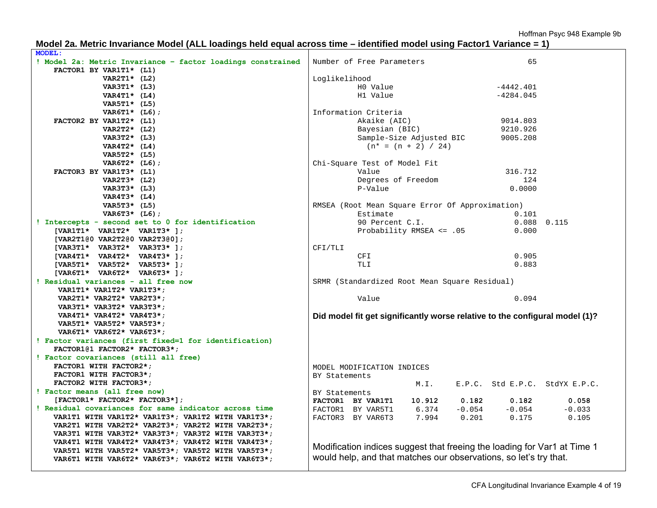| Model 2a. Metric Invariance Model (ALL loadings held equal across time – identified model using Factor1 Variance = 1) |  |  |
|-----------------------------------------------------------------------------------------------------------------------|--|--|
|                                                                                                                       |  |  |

| <b>MODEL:</b>                                                                                          |               |                                                 |                       |          |                                                                   |                                                                             |
|--------------------------------------------------------------------------------------------------------|---------------|-------------------------------------------------|-----------------------|----------|-------------------------------------------------------------------|-----------------------------------------------------------------------------|
| ! Model 2a: Metric Invariance - factor loadings constrained                                            |               | Number of Free Parameters                       |                       |          | 65                                                                |                                                                             |
| FACTOR1 BY VAR1T1* (L1)                                                                                |               |                                                 |                       |          |                                                                   |                                                                             |
| VAR2T1* $(L2)$                                                                                         | Loglikelihood |                                                 |                       |          |                                                                   |                                                                             |
| VAR3T1* (L3)                                                                                           |               | HO Value                                        |                       |          | $-4442.401$                                                       |                                                                             |
| VAR4T1* $(L4)$                                                                                         |               | H1 Value                                        |                       |          | $-4284.045$                                                       |                                                                             |
| VAR5T1* (L5)                                                                                           |               |                                                 |                       |          |                                                                   |                                                                             |
| $VAR6T1* (L6);$                                                                                        |               | Information Criteria                            |                       |          |                                                                   |                                                                             |
| FACTOR2 BY VAR1T2* (L1)                                                                                |               | Akaike (AIC)                                    |                       |          | 9014.803                                                          |                                                                             |
| VAR2T2* (L2)                                                                                           |               | Bayesian (BIC)                                  |                       |          | 9210.926                                                          |                                                                             |
| VAR3T2* (L3)                                                                                           |               | Sample-Size Adjusted BIC                        |                       |          | 9005.208                                                          |                                                                             |
| VAR4T2* $(L4)$                                                                                         |               |                                                 | $(n* = (n + 2) / 24)$ |          |                                                                   |                                                                             |
| VAR5T2* (L5)                                                                                           |               |                                                 |                       |          |                                                                   |                                                                             |
| VAR6T2* $(L6)$ ;                                                                                       |               | Chi-Square Test of Model Fit                    |                       |          |                                                                   |                                                                             |
| FACTOR3 BY VAR1T3* (L1)                                                                                |               | Value                                           |                       |          | 316.712                                                           |                                                                             |
| VAR2T3* (L2)                                                                                           |               | Degrees of Freedom                              |                       |          | 124                                                               |                                                                             |
| VAR3T3* (L3)                                                                                           |               | P-Value                                         |                       |          | 0.0000                                                            |                                                                             |
| VAR4T3* $(L4)$                                                                                         |               |                                                 |                       |          |                                                                   |                                                                             |
| VAR5T3* (L5)                                                                                           |               | RMSEA (Root Mean Square Error Of Approximation) |                       |          |                                                                   |                                                                             |
| VAR6T3* $(L6)$ ;                                                                                       |               | Estimate                                        |                       |          | 0.101                                                             |                                                                             |
| ! Intercepts - second set to 0 for identification                                                      |               | 90 Percent C.I.                                 |                       |          |                                                                   | $0.088$ $0.115$                                                             |
| [VAR1T1* VAR1T2* VAR1T3* ];                                                                            |               | Probability RMSEA <= .05                        |                       |          | 0.000                                                             |                                                                             |
| [VAR2T1@0 VAR2T2@0 VAR2T3@0];                                                                          |               |                                                 |                       |          |                                                                   |                                                                             |
| [VAR3T1* VAR3T2* VAR3T3* ];                                                                            | CFI/TLI       |                                                 |                       |          |                                                                   |                                                                             |
| [VAR4T1* VAR4T2* VAR4T3* ];                                                                            |               | CFI                                             |                       |          | 0.905                                                             |                                                                             |
| [VAR5T1* VAR5T2* VAR5T3* ];                                                                            |               | TLI                                             |                       |          | 0.883                                                             |                                                                             |
| [VAR6T1* VAR6T2* VAR6T3* ];                                                                            |               |                                                 |                       |          |                                                                   |                                                                             |
| ! Residual variances - all free now                                                                    |               | SRMR (Standardized Root Mean Square Residual)   |                       |          |                                                                   |                                                                             |
| VAR1T1* VAR1T2* VAR1T3*;                                                                               |               |                                                 |                       |          |                                                                   |                                                                             |
| VAR2T1* VAR2T2* VAR2T3*;                                                                               |               | Value                                           |                       |          | 0.094                                                             |                                                                             |
| VAR3T1* VAR3T2* VAR3T3*;                                                                               |               |                                                 |                       |          |                                                                   |                                                                             |
| VAR4T1* VAR4T2* VAR4T3*;                                                                               |               |                                                 |                       |          |                                                                   | Did model fit get significantly worse relative to the configural model (1)? |
| VAR5T1* VAR5T2* VAR5T3*;                                                                               |               |                                                 |                       |          |                                                                   |                                                                             |
| VAR6T1* VAR6T2* VAR6T3*;                                                                               |               |                                                 |                       |          |                                                                   |                                                                             |
| ! Factor variances (first fixed=1 for identification)                                                  |               |                                                 |                       |          |                                                                   |                                                                             |
| FACTOR1@1 FACTOR2* FACTOR3*;                                                                           |               |                                                 |                       |          |                                                                   |                                                                             |
| ! Factor covariances (still all free)                                                                  |               |                                                 |                       |          |                                                                   |                                                                             |
| FACTOR1 WITH FACTOR2*;                                                                                 |               | MODEL MODIFICATION INDICES                      |                       |          |                                                                   |                                                                             |
| FACTOR1 WITH FACTOR3*;                                                                                 | BY Statements |                                                 |                       |          |                                                                   |                                                                             |
| FACTOR2 WITH FACTOR3*;                                                                                 |               |                                                 | M.L.                  |          |                                                                   | E.P.C. Std E.P.C. StdYX E.P.C.                                              |
| ! Factor means (all free now)                                                                          | BY Statements |                                                 |                       |          |                                                                   |                                                                             |
| [FACTOR1* FACTOR2* FACTOR3*];                                                                          |               | FACTOR1 BY VAR1T1                               | 10.912                | 0.182    | 0.182                                                             | 0.058                                                                       |
| ! Residual covariances for same indicator across time                                                  |               | FACTOR1 BY VAR5T1                               | 6.374                 | $-0.054$ | $-0.054$                                                          | $-0.033$                                                                    |
| VAR1T1 WITH VAR1T2* VAR1T3*; VAR1T2 WITH VAR1T3*;                                                      |               | FACTOR3 BY VAR6T3                               | 7.994                 | 0.201    | 0.175                                                             | 0.105                                                                       |
| VAR2T1 WITH VAR2T2* VAR2T3*; VAR2T2 WITH VAR2T3*;                                                      |               |                                                 |                       |          |                                                                   |                                                                             |
| VAR3T1 WITH VAR3T2* VAR3T3*; VAR3T2 WITH VAR3T3*;                                                      |               |                                                 |                       |          |                                                                   |                                                                             |
| VAR4T1 WITH VAR4T2* VAR4T3*; VAR4T2 WITH VAR4T3*;<br>VAR5T1 WITH VAR5T2* VAR5T3*; VAR5T2 WITH VAR5T3*; |               |                                                 |                       |          |                                                                   | Modification indices suggest that freeing the loading for Var1 at Time 1    |
| VAR6T1 WITH VAR6T2* VAR6T3*; VAR6T2 WITH VAR6T3*;                                                      |               |                                                 |                       |          | would help, and that matches our observations, so let's try that. |                                                                             |
|                                                                                                        |               |                                                 |                       |          |                                                                   |                                                                             |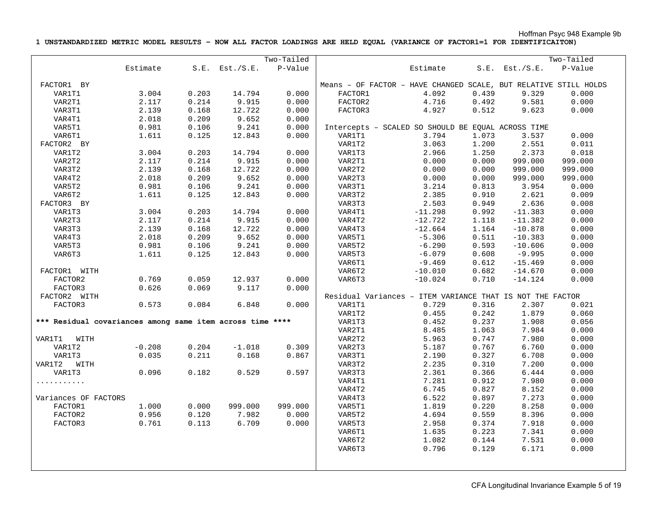**1 UNSTANDARDIZED METRIC MODEL RESULTS – NOW ALL FACTOR LOADINGS ARE HELD EQUAL (VARIANCE OF FACTOR1=1 FOR IDENTIFICAITON)** 

|                                                           |          |       |                     | Two-Tailed |         |                                                                  |                |                     | Two-Tailed     |
|-----------------------------------------------------------|----------|-------|---------------------|------------|---------|------------------------------------------------------------------|----------------|---------------------|----------------|
|                                                           | Estimate |       | $S.E.$ Est./ $S.E.$ | P-Value    |         | Estimate                                                         |                | $S.E.$ Est./ $S.E.$ | P-Value        |
|                                                           |          |       |                     |            |         |                                                                  |                |                     |                |
| FACTOR1 BY                                                |          |       |                     |            |         | Means - OF FACTOR - HAVE CHANGED SCALE, BUT RELATIVE STILL HOLDS |                |                     |                |
| VAR1T1                                                    | 3.004    | 0.203 | 14.794              | 0.000      | FACTOR1 | 4.092                                                            | 0.439          | 9.329               | 0.000          |
| VAR2T1                                                    | 2.117    | 0.214 | 9.915               | 0.000      | FACTOR2 | 4.716                                                            | 0.492          | 9.581               | 0.000          |
| VAR3T1                                                    | 2.139    | 0.168 | 12.722              | 0.000      | FACTOR3 | 4.927                                                            | 0.512          | 9.623               | 0.000          |
| VAR4T1                                                    | 2.018    | 0.209 | 9.652               | 0.000      |         |                                                                  |                |                     |                |
| VAR5T1                                                    | 0.981    | 0.106 | 9.241               | 0.000      |         | Intercepts - SCALED SO SHOULD BE EQUAL ACROSS TIME               |                |                     |                |
| VAR6T1                                                    | 1.611    | 0.125 | 12.843              | 0.000      | VAR1T1  | 3.794                                                            | 1.073          | 3.537               | 0.000          |
| FACTOR2 BY                                                |          |       |                     |            | VAR1T2  | 3.063                                                            | 1.200          | 2.551               | 0.011          |
| VAR1T2                                                    | 3.004    | 0.203 | 14.794              | 0.000      | VAR1T3  | 2.966                                                            | 1.250          | 2.373               | 0.018          |
| VAR2T2                                                    | 2.117    | 0.214 | 9.915               | 0.000      | VAR2T1  | 0.000                                                            | 0.000          | 999.000             | 999.000        |
| VAR3T2                                                    | 2.139    | 0.168 | 12.722              | 0.000      | VAR2T2  | 0.000                                                            | 0.000          | 999.000             | 999.000        |
| VAR4T2                                                    | 2.018    | 0.209 | 9.652               | 0.000      | VAR2T3  | 0.000                                                            | 0.000          | 999.000             | 999.000        |
| VAR5T2                                                    | 0.981    | 0.106 | 9.241               | 0.000      | VAR3T1  | 3.214                                                            | 0.813          | 3.954               | 0.000          |
| VAR6T2                                                    | 1.611    | 0.125 | 12.843              | 0.000      | VAR3T2  | 2.385                                                            | 0.910          | 2.621               | 0.009          |
| FACTOR3 BY                                                |          |       |                     |            | VAR3T3  | 2.503                                                            | 0.949          | 2.636               | 0.008          |
| VAR1T3                                                    | 3.004    | 0.203 | 14.794              | 0.000      | VAR4T1  | $-11.298$                                                        | 0.992          | $-11.383$           | 0.000          |
| VAR2T3                                                    | 2.117    | 0.214 | 9.915               | 0.000      | VAR4T2  | $-12.722$                                                        | 1.118          | $-11.382$           | 0.000          |
| VAR3T3                                                    | 2.139    | 0.168 | 12.722              | 0.000      | VAR4T3  | $-12.664$                                                        | 1.164          | $-10.878$           | 0.000          |
| VAR4T3                                                    | 2.018    | 0.209 | 9.652               | 0.000      | VAR5T1  | $-5.306$                                                         | 0.511          | $-10.383$           | 0.000          |
| VAR5T3                                                    | 0.981    | 0.106 | 9.241               | 0.000      | VAR5T2  | $-6.290$                                                         | 0.593          | $-10.606$           | 0.000          |
| VAR6T3                                                    | 1.611    | 0.125 | 12.843              | 0.000      | VAR5T3  | $-6.079$                                                         | 0.608          | $-9.995$            | 0.000          |
|                                                           |          |       |                     |            | VAR6T1  | $-9.469$                                                         | 0.612          | $-15.469$           | 0.000          |
| FACTOR1 WITH                                              |          |       |                     |            | VAR6T2  | $-10.010$                                                        | 0.682          | $-14.670$           | 0.000          |
| FACTOR2                                                   | 0.769    | 0.059 | 12.937              | 0.000      | VAR6T3  | $-10.024$                                                        | 0.710          | $-14.124$           | 0.000          |
| FACTOR3                                                   | 0.626    | 0.069 | 9.117               | 0.000      |         |                                                                  |                |                     |                |
| FACTOR2 WITH                                              |          |       |                     |            |         | Residual Variances - ITEM VARIANCE THAT IS NOT THE FACTOR        |                |                     |                |
| FACTOR3                                                   | 0.573    | 0.084 | 6.848               | 0.000      | VAR1T1  | 0.729                                                            | 0.316          | 2.307               | 0.021          |
|                                                           |          |       |                     |            | VAR1T2  | 0.455                                                            | 0.242          | 1.879               | 0.060          |
| *** Residual covariances among same item across time **** |          |       |                     |            | VAR1T3  | 0.452                                                            | 0.237          | 1.908               | 0.056          |
|                                                           |          |       |                     |            | VAR2T1  | 8.485                                                            | 1.063          | 7.984               | 0.000          |
|                                                           |          |       |                     |            | VAR2T2  | 5.963                                                            | 0.747          | 7.980               | 0.000          |
| VAR1T1 WITH                                               | $-0.208$ | 0.204 | $-1.018$            | 0.309      | VAR2T3  |                                                                  |                | 6.760               |                |
| VAR1T2<br>VAR1T3                                          | 0.035    | 0.211 | 0.168               | 0.867      | VAR3T1  | 5.187<br>2.190                                                   | 0.767<br>0.327 | 6.708               | 0.000<br>0.000 |
|                                                           |          |       |                     |            |         |                                                                  |                |                     |                |
| VAR1T2 WITH                                               |          |       |                     |            | VAR3T2  | 2.235                                                            | 0.310          | 7.200               | 0.000          |
| VAR1T3                                                    | 0.096    | 0.182 | 0.529               | 0.597      | VAR3T3  | 2.361                                                            | 0.366          | 6.444               | 0.000          |
| .                                                         |          |       |                     |            | VAR4T1  | 7.281                                                            | 0.912          | 7.980               | 0.000          |
|                                                           |          |       |                     |            | VAR4T2  | 6.745                                                            | 0.827          | 8.152               | 0.000          |
| Variances OF FACTORS                                      |          |       |                     |            | VAR4T3  | 6.522                                                            | 0.897          | 7.273               | 0.000          |
| FACTOR1                                                   | 1.000    | 0.000 | 999.000             | 999.000    | VAR5T1  | 1.819                                                            | 0.220          | 8.258               | 0.000          |
| FACTOR2                                                   | 0.956    | 0.120 | 7.982               | 0.000      | VAR5T2  | 4.694                                                            | 0.559          | 8.396               | 0.000          |
| FACTOR3                                                   | 0.761    | 0.113 | 6.709               | 0.000      | VAR5T3  | 2.958                                                            | 0.374          | 7.918               | 0.000          |
|                                                           |          |       |                     |            | VAR6T1  | 1.635                                                            | 0.223          | 7.341               | 0.000          |
|                                                           |          |       |                     |            | VAR6T2  | 1.082                                                            | 0.144          | 7.531               | 0.000          |
|                                                           |          |       |                     |            | VAR6T3  | 0.796                                                            | 0.129          | 6.171               | 0.000          |
|                                                           |          |       |                     |            |         |                                                                  |                |                     |                |
|                                                           |          |       |                     |            |         |                                                                  |                |                     |                |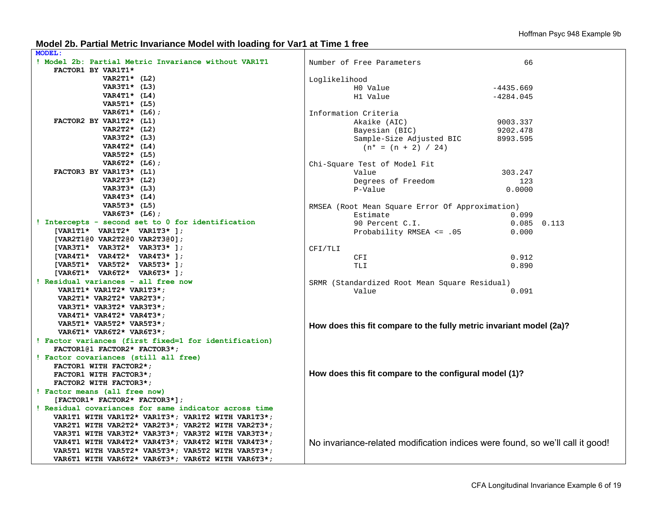#### **Model 2b. Partial Metric Invariance Model with loading for Var1 at Time 1 free**

| ! Model 2b: Partial Metric Invariance without VAR1T1<br>66<br>Number of Free Parameters<br>FACTOR1 BY VAR1T1*<br>VAR2T1* $(L2)$<br>Loglikelihood<br>VAR3T1* (L3)<br>HO Value<br>$-4435.669$<br>VAR4T1* $(L4)$<br>H1 Value<br>$-4284.045$<br>VAR5T1* (L5)<br>VAR6T1* $(L6)$ ;<br>Information Criteria<br>FACTOR2 BY VAR1T2* (L1)<br>Akaike (AIC)<br>9003.337<br>VAR2T2* $(L2)$<br>Bayesian (BIC)<br>9202.478<br>VAR3T2* (L3)<br>Sample-Size Adjusted BIC<br>8993.595<br>VAR4T2* $(L4)$<br>$(n* = (n + 2) / 24)$<br>VAR5T2* (L5)<br>VAR6T2* $(L6)$ ;<br>Chi-Square Test of Model Fit<br>FACTOR3 BY VAR1T3* (L1)<br>303.247<br>Value<br>VAR2T3* (L2)<br>Degrees of Freedom<br>123<br>VAR3T3* (L3)<br>P-Value<br>0.0000<br>VAR4T3* $(L4)$<br>VAR5T3* (L5)<br>RMSEA (Root Mean Square Error Of Approximation)<br>VAR6T3* $(L6)$ ;<br>Estimate<br>0.099<br>! Intercepts - second set to 0 for identification<br>90 Percent C.I.<br>$0.085$ $0.113$<br>[VAR1T1* VAR1T2* VAR1T3* ];<br>Probability RMSEA <= .05<br>0.000<br>[VAR2T1@0 VAR2T2@0 VAR2T3@0];<br>[VAR3T1* VAR3T2* VAR3T3* ];<br>CFI/TLI<br>[VAR4T1* VAR4T2* VAR4T3* ];<br>CFI<br>0.912<br>[VAR5T1* VAR5T2* VAR5T3* ];<br><b>TLI</b><br>0.890<br>[VAR6T1* VAR6T2* VAR6T3* ];<br>! Residual variances - all free now<br>SRMR (Standardized Root Mean Square Residual)<br>VAR1T1* VAR1T2* VAR1T3*;<br>Value<br>0.091<br>VAR2T1* VAR2T2* VAR2T3*;<br>VAR3T1* VAR3T2* VAR3T3*;<br>VAR4T1* VAR4T2* VAR4T3*;<br>VAR5T1* VAR5T2* VAR5T3*;<br>How does this fit compare to the fully metric invariant model (2a)? |
|--------------------------------------------------------------------------------------------------------------------------------------------------------------------------------------------------------------------------------------------------------------------------------------------------------------------------------------------------------------------------------------------------------------------------------------------------------------------------------------------------------------------------------------------------------------------------------------------------------------------------------------------------------------------------------------------------------------------------------------------------------------------------------------------------------------------------------------------------------------------------------------------------------------------------------------------------------------------------------------------------------------------------------------------------------------------------------------------------------------------------------------------------------------------------------------------------------------------------------------------------------------------------------------------------------------------------------------------------------------------------------------------------------------------------------------------------------------------------------------------------------------------------------------------------------------|
|                                                                                                                                                                                                                                                                                                                                                                                                                                                                                                                                                                                                                                                                                                                                                                                                                                                                                                                                                                                                                                                                                                                                                                                                                                                                                                                                                                                                                                                                                                                                                              |
|                                                                                                                                                                                                                                                                                                                                                                                                                                                                                                                                                                                                                                                                                                                                                                                                                                                                                                                                                                                                                                                                                                                                                                                                                                                                                                                                                                                                                                                                                                                                                              |
|                                                                                                                                                                                                                                                                                                                                                                                                                                                                                                                                                                                                                                                                                                                                                                                                                                                                                                                                                                                                                                                                                                                                                                                                                                                                                                                                                                                                                                                                                                                                                              |
|                                                                                                                                                                                                                                                                                                                                                                                                                                                                                                                                                                                                                                                                                                                                                                                                                                                                                                                                                                                                                                                                                                                                                                                                                                                                                                                                                                                                                                                                                                                                                              |
|                                                                                                                                                                                                                                                                                                                                                                                                                                                                                                                                                                                                                                                                                                                                                                                                                                                                                                                                                                                                                                                                                                                                                                                                                                                                                                                                                                                                                                                                                                                                                              |
|                                                                                                                                                                                                                                                                                                                                                                                                                                                                                                                                                                                                                                                                                                                                                                                                                                                                                                                                                                                                                                                                                                                                                                                                                                                                                                                                                                                                                                                                                                                                                              |
|                                                                                                                                                                                                                                                                                                                                                                                                                                                                                                                                                                                                                                                                                                                                                                                                                                                                                                                                                                                                                                                                                                                                                                                                                                                                                                                                                                                                                                                                                                                                                              |
|                                                                                                                                                                                                                                                                                                                                                                                                                                                                                                                                                                                                                                                                                                                                                                                                                                                                                                                                                                                                                                                                                                                                                                                                                                                                                                                                                                                                                                                                                                                                                              |
|                                                                                                                                                                                                                                                                                                                                                                                                                                                                                                                                                                                                                                                                                                                                                                                                                                                                                                                                                                                                                                                                                                                                                                                                                                                                                                                                                                                                                                                                                                                                                              |
|                                                                                                                                                                                                                                                                                                                                                                                                                                                                                                                                                                                                                                                                                                                                                                                                                                                                                                                                                                                                                                                                                                                                                                                                                                                                                                                                                                                                                                                                                                                                                              |
|                                                                                                                                                                                                                                                                                                                                                                                                                                                                                                                                                                                                                                                                                                                                                                                                                                                                                                                                                                                                                                                                                                                                                                                                                                                                                                                                                                                                                                                                                                                                                              |
|                                                                                                                                                                                                                                                                                                                                                                                                                                                                                                                                                                                                                                                                                                                                                                                                                                                                                                                                                                                                                                                                                                                                                                                                                                                                                                                                                                                                                                                                                                                                                              |
|                                                                                                                                                                                                                                                                                                                                                                                                                                                                                                                                                                                                                                                                                                                                                                                                                                                                                                                                                                                                                                                                                                                                                                                                                                                                                                                                                                                                                                                                                                                                                              |
|                                                                                                                                                                                                                                                                                                                                                                                                                                                                                                                                                                                                                                                                                                                                                                                                                                                                                                                                                                                                                                                                                                                                                                                                                                                                                                                                                                                                                                                                                                                                                              |
|                                                                                                                                                                                                                                                                                                                                                                                                                                                                                                                                                                                                                                                                                                                                                                                                                                                                                                                                                                                                                                                                                                                                                                                                                                                                                                                                                                                                                                                                                                                                                              |
|                                                                                                                                                                                                                                                                                                                                                                                                                                                                                                                                                                                                                                                                                                                                                                                                                                                                                                                                                                                                                                                                                                                                                                                                                                                                                                                                                                                                                                                                                                                                                              |
|                                                                                                                                                                                                                                                                                                                                                                                                                                                                                                                                                                                                                                                                                                                                                                                                                                                                                                                                                                                                                                                                                                                                                                                                                                                                                                                                                                                                                                                                                                                                                              |
|                                                                                                                                                                                                                                                                                                                                                                                                                                                                                                                                                                                                                                                                                                                                                                                                                                                                                                                                                                                                                                                                                                                                                                                                                                                                                                                                                                                                                                                                                                                                                              |
|                                                                                                                                                                                                                                                                                                                                                                                                                                                                                                                                                                                                                                                                                                                                                                                                                                                                                                                                                                                                                                                                                                                                                                                                                                                                                                                                                                                                                                                                                                                                                              |
|                                                                                                                                                                                                                                                                                                                                                                                                                                                                                                                                                                                                                                                                                                                                                                                                                                                                                                                                                                                                                                                                                                                                                                                                                                                                                                                                                                                                                                                                                                                                                              |
|                                                                                                                                                                                                                                                                                                                                                                                                                                                                                                                                                                                                                                                                                                                                                                                                                                                                                                                                                                                                                                                                                                                                                                                                                                                                                                                                                                                                                                                                                                                                                              |
|                                                                                                                                                                                                                                                                                                                                                                                                                                                                                                                                                                                                                                                                                                                                                                                                                                                                                                                                                                                                                                                                                                                                                                                                                                                                                                                                                                                                                                                                                                                                                              |
|                                                                                                                                                                                                                                                                                                                                                                                                                                                                                                                                                                                                                                                                                                                                                                                                                                                                                                                                                                                                                                                                                                                                                                                                                                                                                                                                                                                                                                                                                                                                                              |
|                                                                                                                                                                                                                                                                                                                                                                                                                                                                                                                                                                                                                                                                                                                                                                                                                                                                                                                                                                                                                                                                                                                                                                                                                                                                                                                                                                                                                                                                                                                                                              |
|                                                                                                                                                                                                                                                                                                                                                                                                                                                                                                                                                                                                                                                                                                                                                                                                                                                                                                                                                                                                                                                                                                                                                                                                                                                                                                                                                                                                                                                                                                                                                              |
|                                                                                                                                                                                                                                                                                                                                                                                                                                                                                                                                                                                                                                                                                                                                                                                                                                                                                                                                                                                                                                                                                                                                                                                                                                                                                                                                                                                                                                                                                                                                                              |
|                                                                                                                                                                                                                                                                                                                                                                                                                                                                                                                                                                                                                                                                                                                                                                                                                                                                                                                                                                                                                                                                                                                                                                                                                                                                                                                                                                                                                                                                                                                                                              |
|                                                                                                                                                                                                                                                                                                                                                                                                                                                                                                                                                                                                                                                                                                                                                                                                                                                                                                                                                                                                                                                                                                                                                                                                                                                                                                                                                                                                                                                                                                                                                              |
|                                                                                                                                                                                                                                                                                                                                                                                                                                                                                                                                                                                                                                                                                                                                                                                                                                                                                                                                                                                                                                                                                                                                                                                                                                                                                                                                                                                                                                                                                                                                                              |
|                                                                                                                                                                                                                                                                                                                                                                                                                                                                                                                                                                                                                                                                                                                                                                                                                                                                                                                                                                                                                                                                                                                                                                                                                                                                                                                                                                                                                                                                                                                                                              |
|                                                                                                                                                                                                                                                                                                                                                                                                                                                                                                                                                                                                                                                                                                                                                                                                                                                                                                                                                                                                                                                                                                                                                                                                                                                                                                                                                                                                                                                                                                                                                              |
|                                                                                                                                                                                                                                                                                                                                                                                                                                                                                                                                                                                                                                                                                                                                                                                                                                                                                                                                                                                                                                                                                                                                                                                                                                                                                                                                                                                                                                                                                                                                                              |
| VAR6T1* VAR6T2* VAR6T3*;                                                                                                                                                                                                                                                                                                                                                                                                                                                                                                                                                                                                                                                                                                                                                                                                                                                                                                                                                                                                                                                                                                                                                                                                                                                                                                                                                                                                                                                                                                                                     |
| ! Factor variances (first fixed=1 for identification)                                                                                                                                                                                                                                                                                                                                                                                                                                                                                                                                                                                                                                                                                                                                                                                                                                                                                                                                                                                                                                                                                                                                                                                                                                                                                                                                                                                                                                                                                                        |
| FACTOR1@1 FACTOR2* FACTOR3*;                                                                                                                                                                                                                                                                                                                                                                                                                                                                                                                                                                                                                                                                                                                                                                                                                                                                                                                                                                                                                                                                                                                                                                                                                                                                                                                                                                                                                                                                                                                                 |
| ! Factor covariances (still all free)                                                                                                                                                                                                                                                                                                                                                                                                                                                                                                                                                                                                                                                                                                                                                                                                                                                                                                                                                                                                                                                                                                                                                                                                                                                                                                                                                                                                                                                                                                                        |
| FACTOR1 WITH FACTOR2*;                                                                                                                                                                                                                                                                                                                                                                                                                                                                                                                                                                                                                                                                                                                                                                                                                                                                                                                                                                                                                                                                                                                                                                                                                                                                                                                                                                                                                                                                                                                                       |
| How does this fit compare to the configural model (1)?<br>FACTOR1 WITH FACTOR3*;                                                                                                                                                                                                                                                                                                                                                                                                                                                                                                                                                                                                                                                                                                                                                                                                                                                                                                                                                                                                                                                                                                                                                                                                                                                                                                                                                                                                                                                                             |
| FACTOR2 WITH FACTOR3*;                                                                                                                                                                                                                                                                                                                                                                                                                                                                                                                                                                                                                                                                                                                                                                                                                                                                                                                                                                                                                                                                                                                                                                                                                                                                                                                                                                                                                                                                                                                                       |
| ! Factor means (all free now)                                                                                                                                                                                                                                                                                                                                                                                                                                                                                                                                                                                                                                                                                                                                                                                                                                                                                                                                                                                                                                                                                                                                                                                                                                                                                                                                                                                                                                                                                                                                |
| $[FACTOR1* FACTOR2* FACTOR3*];$                                                                                                                                                                                                                                                                                                                                                                                                                                                                                                                                                                                                                                                                                                                                                                                                                                                                                                                                                                                                                                                                                                                                                                                                                                                                                                                                                                                                                                                                                                                              |
| ! Residual covariances for same indicator across time                                                                                                                                                                                                                                                                                                                                                                                                                                                                                                                                                                                                                                                                                                                                                                                                                                                                                                                                                                                                                                                                                                                                                                                                                                                                                                                                                                                                                                                                                                        |
| VAR1T1 WITH VAR1T2* VAR1T3*; VAR1T2 WITH VAR1T3*;                                                                                                                                                                                                                                                                                                                                                                                                                                                                                                                                                                                                                                                                                                                                                                                                                                                                                                                                                                                                                                                                                                                                                                                                                                                                                                                                                                                                                                                                                                            |
| VAR2T1 WITH VAR2T2* VAR2T3*; VAR2T2 WITH VAR2T3*;                                                                                                                                                                                                                                                                                                                                                                                                                                                                                                                                                                                                                                                                                                                                                                                                                                                                                                                                                                                                                                                                                                                                                                                                                                                                                                                                                                                                                                                                                                            |
| VAR3T1 WITH VAR3T2* VAR3T3*; VAR3T2 WITH VAR3T3*;                                                                                                                                                                                                                                                                                                                                                                                                                                                                                                                                                                                                                                                                                                                                                                                                                                                                                                                                                                                                                                                                                                                                                                                                                                                                                                                                                                                                                                                                                                            |
| No invariance-related modification indices were found, so we'll call it good!<br>VAR4T1 WITH VAR4T2* VAR4T3*; VAR4T2 WITH VAR4T3*;                                                                                                                                                                                                                                                                                                                                                                                                                                                                                                                                                                                                                                                                                                                                                                                                                                                                                                                                                                                                                                                                                                                                                                                                                                                                                                                                                                                                                           |
| VAR5T1 WITH VAR5T2* VAR5T3*; VAR5T2 WITH VAR5T3*;                                                                                                                                                                                                                                                                                                                                                                                                                                                                                                                                                                                                                                                                                                                                                                                                                                                                                                                                                                                                                                                                                                                                                                                                                                                                                                                                                                                                                                                                                                            |
| VAR6T1 WITH VAR6T2* VAR6T3*; VAR6T2 WITH VAR6T3*;                                                                                                                                                                                                                                                                                                                                                                                                                                                                                                                                                                                                                                                                                                                                                                                                                                                                                                                                                                                                                                                                                                                                                                                                                                                                                                                                                                                                                                                                                                            |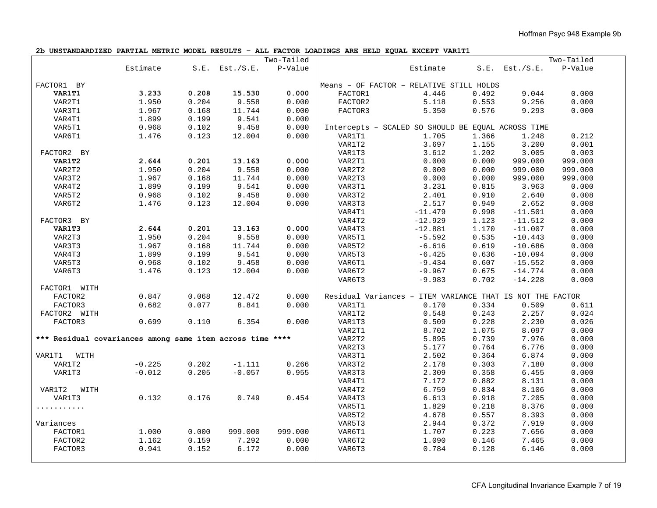**2b UNSTANDARDIZED PARTIAL METRIC MODEL RESULTS – ALL FACTOR LOADINGS ARE HELD EQUAL EXCEPT VAR1T1** 

|                                                           |          |       |                     | Two-Tailed |         |                                                           |       |                     | Two-Tailed |
|-----------------------------------------------------------|----------|-------|---------------------|------------|---------|-----------------------------------------------------------|-------|---------------------|------------|
|                                                           | Estimate |       | $S.E.$ Est./ $S.E.$ | P-Value    |         | Estimate                                                  |       | $S.E.$ Est./ $S.E.$ | P-Value    |
|                                                           |          |       |                     |            |         |                                                           |       |                     |            |
| FACTOR1 BY                                                |          |       |                     |            |         | Means - OF FACTOR - RELATIVE STILL HOLDS                  |       |                     |            |
| VAR1T1                                                    | 3.233    | 0.208 | 15.530              | 0.000      | FACTOR1 | 4.446                                                     | 0.492 | 9.044               | 0.000      |
| VAR2T1                                                    | 1.950    | 0.204 | 9.558               | 0.000      | FACTOR2 | 5.118                                                     | 0.553 | 9.256               | 0.000      |
| VAR3T1                                                    | 1.967    | 0.168 | 11.744              | 0.000      | FACTOR3 | 5.350                                                     | 0.576 | 9.293               | 0.000      |
| VAR4T1                                                    | 1.899    | 0.199 | 9.541               | 0.000      |         |                                                           |       |                     |            |
| VAR5T1                                                    | 0.968    | 0.102 | 9.458               | 0.000      |         | Intercepts - SCALED SO SHOULD BE EQUAL ACROSS TIME        |       |                     |            |
| VAR6T1                                                    | 1.476    | 0.123 | 12.004              | 0.000      | VAR1T1  | 1.705                                                     | 1.366 | 1.248               | 0.212      |
|                                                           |          |       |                     |            | VAR1T2  | 3.697                                                     | 1.155 | 3.200               | 0.001      |
| FACTOR2 BY                                                |          |       |                     |            | VAR1T3  | 3.612                                                     | 1.202 | 3.005               | 0.003      |
| VAR1T2                                                    | 2.644    | 0.201 | 13.163              | 0.000      | VAR2T1  | 0.000                                                     | 0.000 | 999.000             | 999.000    |
| VAR2T2                                                    | 1.950    | 0.204 | 9.558               | 0.000      | VAR2T2  | 0.000                                                     | 0.000 | 999.000             | 999.000    |
| VAR3T2                                                    | 1.967    | 0.168 | 11.744              | 0.000      | VAR2T3  | 0.000                                                     | 0.000 | 999.000             | 999.000    |
| VAR4T2                                                    | 1.899    | 0.199 | 9.541               | 0.000      | VAR3T1  | 3.231                                                     | 0.815 | 3.963               | 0.000      |
| VAR5T2                                                    | 0.968    | 0.102 | 9.458               | 0.000      | VAR3T2  | 2.401                                                     | 0.910 | 2.640               | 0.008      |
| VAR6T2                                                    | 1.476    | 0.123 | 12.004              | 0.000      | VAR3T3  | 2.517                                                     | 0.949 | 2.652               | 0.008      |
|                                                           |          |       |                     |            | VAR4T1  | $-11.479$                                                 | 0.998 | $-11.501$           | 0.000      |
| FACTOR3 BY                                                |          |       |                     |            | VAR4T2  | $-12.929$                                                 | 1.123 | $-11.512$           | 0.000      |
| VAR1T3                                                    | 2.644    | 0.201 | 13.163              | 0.000      | VAR4T3  | $-12.881$                                                 | 1.170 | $-11.007$           | 0.000      |
| VAR2T3                                                    | 1.950    | 0.204 | 9.558               | 0.000      | VAR5T1  | $-5.592$                                                  | 0.535 | $-10.443$           | 0.000      |
| VAR3T3                                                    | 1.967    | 0.168 | 11.744              | 0.000      | VAR5T2  | $-6.616$                                                  | 0.619 | $-10.686$           | 0.000      |
| VAR4T3                                                    | 1.899    | 0.199 | 9.541               | 0.000      | VAR5T3  | $-6.425$                                                  | 0.636 | $-10.094$           | 0.000      |
| VAR5T3                                                    | 0.968    | 0.102 | 9.458               | 0.000      | VAR6T1  | $-9.434$                                                  | 0.607 | $-15.552$           | 0.000      |
| VAR6T3                                                    | 1.476    | 0.123 | 12.004              | 0.000      | VAR6T2  | $-9.967$                                                  | 0.675 | $-14.774$           | 0.000      |
|                                                           |          |       |                     |            |         |                                                           |       |                     |            |
|                                                           |          |       |                     |            | VAR6T3  | $-9.983$                                                  | 0.702 | $-14.228$           | 0.000      |
| FACTOR1 WITH                                              |          |       |                     |            |         |                                                           |       |                     |            |
| FACTOR2                                                   | 0.847    | 0.068 | 12.472              | 0.000      |         | Residual Variances - ITEM VARIANCE THAT IS NOT THE FACTOR |       |                     |            |
| FACTOR3                                                   | 0.682    | 0.077 | 8.841               | 0.000      | VAR1T1  | 0.170                                                     | 0.334 | 0.509               | 0.611      |
| FACTOR2 WITH                                              |          |       |                     |            | VAR1T2  | 0.548                                                     | 0.243 | 2.257               | 0.024      |
| FACTOR3                                                   | 0.699    | 0.110 | 6.354               | 0.000      | VAR1T3  | 0.509                                                     | 0.228 | 2.230               | 0.026      |
|                                                           |          |       |                     |            | VAR2T1  | 8.702                                                     | 1.075 | 8.097               | 0.000      |
| *** Residual covariances among same item across time **** |          |       |                     |            | VAR2T2  | 5.895                                                     | 0.739 | 7.976               | 0.000      |
|                                                           |          |       |                     |            | VAR2T3  | 5.177                                                     | 0.764 | 6.776               | 0.000      |
| VAR1T1<br>WITH                                            |          |       |                     |            | VAR3T1  | 2.502                                                     | 0.364 | 6.874               | 0.000      |
| VAR1T2                                                    | $-0.225$ | 0.202 | $-1.111$            | 0.266      | VAR3T2  | 2.178                                                     | 0.303 | 7.180               | 0.000      |
| VAR1T3                                                    | $-0.012$ | 0.205 | $-0.057$            | 0.955      | VAR3T3  | 2.309                                                     | 0.358 | 6.455               | 0.000      |
|                                                           |          |       |                     |            | VAR4T1  | 7.172                                                     | 0.882 | 8.131               | 0.000      |
| VAR1T2<br>WITH                                            |          |       |                     |            | VAR4T2  | 6.759                                                     | 0.834 | 8.106               | 0.000      |
| VAR1T3                                                    | 0.132    | 0.176 | 0.749               | 0.454      | VAR4T3  | 6.613                                                     | 0.918 | 7.205               | 0.000      |
| .                                                         |          |       |                     |            | VAR5T1  | 1.829                                                     | 0.218 | 8.376               | 0.000      |
|                                                           |          |       |                     |            | VAR5T2  | 4.678                                                     | 0.557 | 8.393               | 0.000      |
| Variances                                                 |          |       |                     |            | VAR5T3  | 2.944                                                     | 0.372 | 7.919               | 0.000      |
| FACTOR1                                                   | 1.000    | 0.000 | 999.000             | 999.000    | VAR6T1  | 1.707                                                     | 0.223 | 7.656               | 0.000      |
| FACTOR2                                                   | 1.162    | 0.159 | 7.292               | 0.000      | VAR6T2  | 1.090                                                     | 0.146 | 7.465               | 0.000      |
| FACTOR3                                                   | 0.941    | 0.152 | 6.172               | 0.000      | VAR6T3  | 0.784                                                     | 0.128 | 6.146               | 0.000      |
|                                                           |          |       |                     |            |         |                                                           |       |                     |            |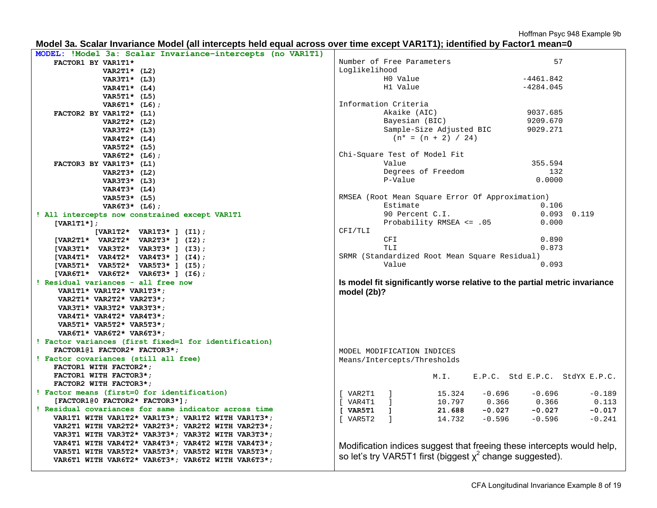| Model 3a. Scalar Invariance Model (all intercepts held equal across over time except VAR1T1); identified by Factor1 mean=0 |  |  |
|----------------------------------------------------------------------------------------------------------------------------|--|--|
| MODEL: !Model 3a: Scalar Invariance-intercepts (no VAR1T1)                                                                 |  |  |

| FACTOR1 BY VAR1T1*                                                                                     | Number of Free Parameters                                                  | 57                   |
|--------------------------------------------------------------------------------------------------------|----------------------------------------------------------------------------|----------------------|
| VAR2T1* $(L2)$                                                                                         | Loglikelihood                                                              |                      |
| VAR3T1* (L3)                                                                                           | H0 Value<br>$-4461.842$                                                    |                      |
| VAR4T1* $(L4)$                                                                                         | H1 Value<br>$-4284.045$                                                    |                      |
| VAR5T1* (L5)                                                                                           |                                                                            |                      |
| VAR6T1* $(L6)$ ;                                                                                       | Information Criteria                                                       |                      |
| FACTOR2 BY VAR1T2* (L1)                                                                                | Akaike (AIC)<br>9037.685                                                   |                      |
| VAR2T2* $(L2)$                                                                                         | Bayesian (BIC)<br>9209.670                                                 |                      |
| VAR3T2* (L3)                                                                                           | Sample-Size Adjusted BIC<br>9029.271                                       |                      |
| VAR4T2* $(L4)$                                                                                         | $(n* = (n + 2) / 24)$                                                      |                      |
| VAR5T2* (L5)                                                                                           |                                                                            |                      |
| VAR6T2* (L6);                                                                                          | Chi-Square Test of Model Fit                                               |                      |
| FACTOR3 BY VAR1T3* (L1)                                                                                | Value<br>355.594                                                           |                      |
| VAR2T3* $(L2)$                                                                                         | Degrees of Freedom                                                         | 132                  |
| VAR3T3* (L3)                                                                                           | P-Value<br>0.0000                                                          |                      |
| VAR4T3* $(L4)$                                                                                         |                                                                            |                      |
| VAR5T3* (L5)                                                                                           | RMSEA (Root Mean Square Error Of Approximation)                            |                      |
| VAR6T3* (L6);                                                                                          | Estimate                                                                   | 0.106                |
| ! All intercepts now constrained except VAR1T1                                                         | 90 Percent C.I.                                                            | $0.093$ $0.119$      |
| [VAR1T1 $\star$ ];                                                                                     | Probability RMSEA <= .05                                                   | 0.000                |
| $[VART2* VART3* ] (I1);$                                                                               | CFI/TLI                                                                    |                      |
| [VAR2T1* VAR2T2* VAR2T3* ] $(12)$ ;                                                                    | CFI                                                                        | 0.890                |
| [VAR3T1* VAR3T2* VAR3T3* ] (I3);                                                                       | TLI                                                                        | 0.873                |
| [VAR4T1* VAR4T2* VAR4T3* ] $(14)$ ;                                                                    | SRMR (Standardized Root Mean Square Residual)                              |                      |
| [VAR5T1* VAR5T2* VAR5T3* ] (I5);                                                                       | Value                                                                      | 0.093                |
|                                                                                                        |                                                                            |                      |
| $[VAR6T1* VAR6T2* VAR6T3*]$ (16);                                                                      |                                                                            |                      |
| ! Residual variances - all free now                                                                    | Is model fit significantly worse relative to the partial metric invariance |                      |
| VAR1T1* VAR1T2* VAR1T3*;                                                                               | model (2b)?                                                                |                      |
| VAR2T1* VAR2T2* VAR2T3*;                                                                               |                                                                            |                      |
| VAR3T1* VAR3T2* VAR3T3*;                                                                               |                                                                            |                      |
| VAR4T1* VAR4T2* VAR4T3*;                                                                               |                                                                            |                      |
| VAR5T1* VAR5T2* VAR5T3*;                                                                               |                                                                            |                      |
| VAR6T1* VAR6T2* VAR6T3*;                                                                               |                                                                            |                      |
| ! Factor variances (first fixed=1 for identification)                                                  |                                                                            |                      |
| FACTOR1@1 FACTOR2* FACTOR3*;                                                                           | MODEL MODIFICATION INDICES                                                 |                      |
| ! Factor covariances (still all free)                                                                  | Means/Intercepts/Thresholds                                                |                      |
| FACTOR1 WITH FACTOR2*;                                                                                 |                                                                            |                      |
| FACTOR1 WITH FACTOR3*;                                                                                 | E.P.C. Std E.P.C. StdYX E.P.C.<br>M.I.                                     |                      |
| FACTOR2 WITH FACTOR3*;                                                                                 |                                                                            |                      |
| ! Factor means (first=0 for identification)                                                            | [ VAR2T1 ]<br>15.324<br>$-0.696$<br>$-0.696$                               | $-0.189$             |
| $[FACTOR1@0 FACTOR2* FACTOR3*];$                                                                       | [ VART1 ]<br>0.366                                                         | 0.113                |
| ! Residual covariances for same indicator across time                                                  | $10.797$ $0.366$<br><b>21.688</b> - <b>0.027</b> -<br>[ VARST1 ]           | $-0.027$<br>$-0.017$ |
| VAR1T1 WITH VAR1T2* VAR1T3*; VAR1T2 WITH VAR1T3*;                                                      | I VAR5T2<br>$\blacksquare$<br>14.732<br>$-0.596$<br>$-0.596$               | $-0.241$             |
| VAR2T1 WITH VAR2T2* VAR2T3*; VAR2T2 WITH VAR2T3*;                                                      |                                                                            |                      |
| VAR3T1 WITH VAR3T2* VAR3T3*; VAR3T2 WITH VAR3T3*;                                                      |                                                                            |                      |
| VAR4T1 WITH VAR4T2* VAR4T3*; VAR4T2 WITH VAR4T3*;                                                      | Modification indices suggest that freeing these intercepts would help,     |                      |
| VAR5T1 WITH VAR5T2* VAR5T3*; VAR5T2 WITH VAR5T3*;<br>VAR6T1 WITH VAR6T2* VAR6T3*; VAR6T2 WITH VAR6T3*; | so let's try VAR5T1 first (biggest $x^2$ change suggested).                |                      |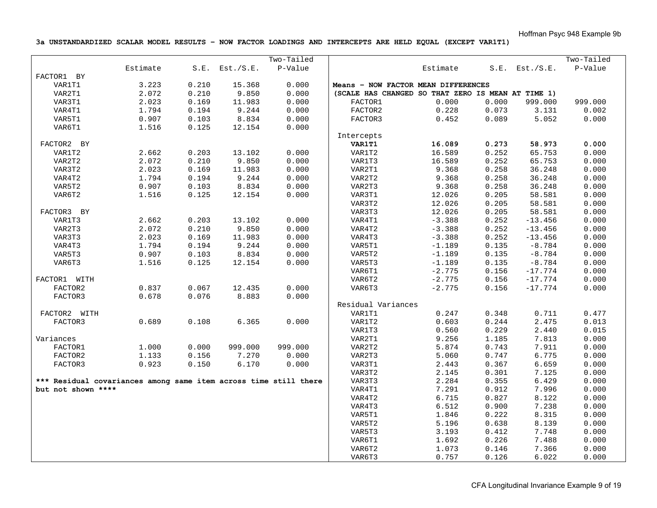**3a UNSTANDARDIZED SCALAR MODEL RESULTS – NOW FACTOR LOADINGS AND INTERCEPTS ARE HELD EQUAL (EXCEPT VAR1T1)** 

|                                                                  |                |       |                     | Two-Tailed |                                                    |          |       |                        | Two-Tailed |
|------------------------------------------------------------------|----------------|-------|---------------------|------------|----------------------------------------------------|----------|-------|------------------------|------------|
|                                                                  | Estimate       |       | $S.E.$ Est./ $S.E.$ | P-Value    |                                                    | Estimate |       | $S.E.$ Est./ $S.E.$    | P-Value    |
| FACTOR1 BY                                                       |                |       |                     |            |                                                    |          |       |                        |            |
| VAR1T1                                                           | 3.223          | 0.210 | 15.368              | 0.000      | Means - NOW FACTOR MEAN DIFFERENCES                |          |       |                        |            |
| VAR2T1                                                           | 2.072          | 0.210 | 9.850               | 0.000      | (SCALE HAS CHANGED SO THAT ZERO IS MEAN AT TIME 1) |          |       |                        |            |
| VAR3T1                                                           | 2.023          | 0.169 | 11.983              | 0.000      | FACTOR1                                            | 0.000    | 0.000 | 999.000                | 999.000    |
| VAR4T1                                                           | 1.794          | 0.194 | 9.244               | 0.000      | FACTOR2                                            | 0.228    | 0.073 | 3.131                  | 0.002      |
| VAR5T1                                                           | 0.907          | 0.103 | 8.834               | 0.000      | FACTOR3                                            | 0.452    | 0.089 | 5.052                  | 0.000      |
| VAR6T1                                                           | 1.516          | 0.125 | 12.154              | 0.000      |                                                    |          |       |                        |            |
|                                                                  |                |       |                     |            | Intercepts                                         |          |       |                        |            |
| FACTOR2 BY                                                       |                |       |                     |            | <b>VAR1T1</b>                                      | 16.089   | 0.273 | 58.973                 | 0.000      |
| VAR1T2                                                           | 2.662          | 0.203 | 13.102              | 0.000      | VAR1T2                                             | 16.589   | 0.252 | 65.753                 | 0.000      |
| VAR2T2                                                           | 2.072          | 0.210 | 9.850               | 0.000      | VAR1T3                                             | 16.589   | 0.252 | 65.753                 | 0.000      |
| VAR3T2                                                           | 2.023          | 0.169 | 11.983              | 0.000      | VAR2T1                                             | 9.368    | 0.258 | 36.248                 | 0.000      |
| VAR4T2                                                           | 1.794          | 0.194 | 9.244               | 0.000      | VAR2T2                                             | 9.368    | 0.258 | 36.248                 | 0.000      |
| VAR5T2                                                           | 0.907          | 0.103 | 8.834               | 0.000      | VAR2T3                                             | 9.368    | 0.258 | 36.248                 | 0.000      |
| VAR6T2                                                           | 1.516          | 0.125 | 12.154              | 0.000      | VAR3T1                                             | 12.026   | 0.205 | 58.581                 | 0.000      |
|                                                                  |                |       |                     |            | VAR3T2                                             | 12.026   | 0.205 | 58.581                 | 0.000      |
| FACTOR3 BY                                                       |                |       |                     |            | VAR3T3                                             | 12.026   | 0.205 | 58.581                 | 0.000      |
| VAR1T3                                                           | 2.662          | 0.203 | 13.102              | 0.000      | VAR4T1                                             | $-3.388$ | 0.252 | $-13.456$              | 0.000      |
| VAR2T3                                                           | 2.072          | 0.210 | 9.850               | 0.000      | VAR4T2                                             | $-3.388$ | 0.252 | $-13.456$              | 0.000      |
| VAR3T3                                                           | 2.023          | 0.169 | 11.983              | 0.000      | VAR4T3                                             | $-3.388$ | 0.252 | $-13.456$              | 0.000      |
| VAR4T3                                                           | 1.794          | 0.194 | 9.244               | 0.000      | VAR5T1                                             | $-1.189$ | 0.135 | $-8.784$               | 0.000      |
| VAR5T3                                                           | 0.907          | 0.103 | 8.834               | 0.000      | VAR5T2                                             | $-1.189$ | 0.135 | $-8.784$               | 0.000      |
| VAR6T3                                                           | 1.516          | 0.125 | 12.154              | 0.000      | VAR5T3                                             | $-1.189$ | 0.135 | $-8.784$               | 0.000      |
|                                                                  |                |       |                     |            | VAR6T1                                             | $-2.775$ | 0.156 | $-17.774$              | 0.000      |
|                                                                  |                |       |                     |            |                                                    | $-2.775$ | 0.156 |                        | 0.000      |
| FACTOR1 WITH                                                     |                | 0.067 | 12.435              | 0.000      | VAR6T2<br>VAR6T3                                   | $-2.775$ | 0.156 | $-17.774$<br>$-17.774$ | 0.000      |
| FACTOR2                                                          | 0.837<br>0.678 | 0.076 | 8.883               |            |                                                    |          |       |                        |            |
| FACTOR3                                                          |                |       |                     | 0.000      | Residual Variances                                 |          |       |                        |            |
| FACTOR2 WITH                                                     |                |       |                     |            | VAR1T1                                             | 0.247    |       |                        |            |
|                                                                  |                |       |                     |            |                                                    |          | 0.348 | 0.711                  | 0.477      |
| FACTOR3                                                          | 0.689          | 0.108 | 6.365               | 0.000      | VAR1T2                                             | 0.603    | 0.244 | 2.475                  | 0.013      |
|                                                                  |                |       |                     |            | VAR1T3                                             | 0.560    | 0.229 | 2.440                  | 0.015      |
| Variances                                                        |                |       |                     |            | VAR2T1                                             | 9.256    | 1.185 | 7.813                  | 0.000      |
| FACTOR1                                                          | 1.000          | 0.000 | 999.000             | 999.000    | VAR2T2                                             | 5.874    | 0.743 | 7.911                  | 0.000      |
| FACTOR2                                                          | 1.133          | 0.156 | 7.270               | 0.000      | VAR2T3                                             | 5.060    | 0.747 | 6.775                  | 0.000      |
| FACTOR3                                                          | 0.923          | 0.150 | 6.170               | 0.000      | VAR3T1                                             | 2.443    | 0.367 | 6.659                  | 0.000      |
|                                                                  |                |       |                     |            | VAR3T2                                             | 2.145    | 0.301 | 7.125                  | 0.000      |
| *** Residual covariances among same item across time still there |                |       |                     |            | VAR3T3                                             | 2.284    | 0.355 | 6.429                  | 0.000      |
| but not shown ****                                               |                |       |                     |            | VAR4T1                                             | 7.291    | 0.912 | 7.996                  | 0.000      |
|                                                                  |                |       |                     |            | VAR4T2                                             | 6.715    | 0.827 | 8.122                  | 0.000      |
|                                                                  |                |       |                     |            | VAR4T3                                             | 6.512    | 0.900 | 7.238                  | 0.000      |
|                                                                  |                |       |                     |            | VAR5T1                                             | 1.846    | 0.222 | 8.315                  | 0.000      |
|                                                                  |                |       |                     |            | VAR5T2                                             | 5.196    | 0.638 | 8.139                  | 0.000      |
|                                                                  |                |       |                     |            | VAR5T3                                             | 3.193    | 0.412 | 7.748                  | 0.000      |
|                                                                  |                |       |                     |            | VAR6T1                                             | 1.692    | 0.226 | 7.488                  | 0.000      |
|                                                                  |                |       |                     |            | VAR6T2                                             | 1.073    | 0.146 | 7.366                  | 0.000      |
|                                                                  |                |       |                     |            | VAR6T3                                             | 0.757    | 0.126 | 6.022                  | 0.000      |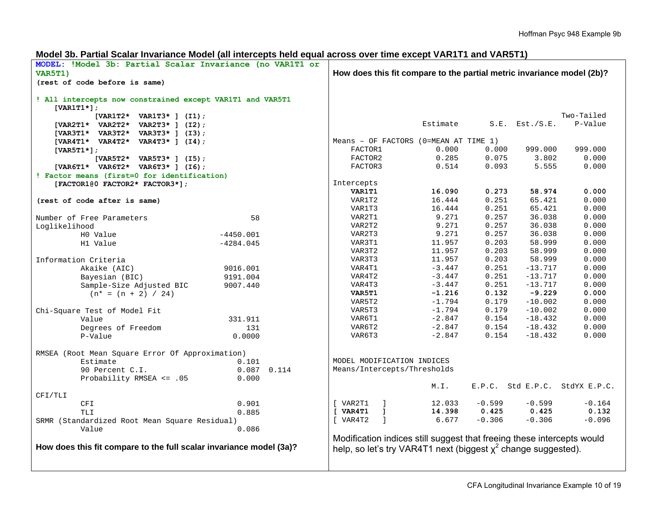| Model 3b. Partial Scalar Invariance Model (all intercepts held equal across over time except VAR1T1 and VAR5T1) |  |  |  |
|-----------------------------------------------------------------------------------------------------------------|--|--|--|
|-----------------------------------------------------------------------------------------------------------------|--|--|--|

| MODEL: !Model 3b: Partial Scalar Invariance (no VAR1T1 or           |                            |                                                                        |                 |                |                     |                                |
|---------------------------------------------------------------------|----------------------------|------------------------------------------------------------------------|-----------------|----------------|---------------------|--------------------------------|
| VAR5T1)                                                             |                            | How does this fit compare to the partial metric invariance model (2b)? |                 |                |                     |                                |
| (rest of code before is same)                                       |                            |                                                                        |                 |                |                     |                                |
| ! All intercepts now constrained except VAR1T1 and VAR5T1           |                            |                                                                        |                 |                |                     |                                |
| $[VART1*];$                                                         |                            |                                                                        |                 |                |                     |                                |
| [VAR1T2* VAR1T3* ] $(11)$ ;                                         |                            |                                                                        |                 |                |                     | Two-Tailed                     |
| [VAR2T1* VAR2T2* VAR2T3* ] $(12)$ ;                                 |                            |                                                                        | Estimate        |                | $S.E.$ Est./ $S.E.$ | P-Value                        |
| [VAR3T1* VAR3T2* VAR3T3* ] $(13)$ ;                                 |                            |                                                                        |                 |                |                     |                                |
| [VAR4T1* VAR4T2* VAR4T3* ] $(14)$ ;                                 |                            | Means - OF FACTORS ( $0$ =MEAN AT TIME 1)                              |                 |                |                     |                                |
| [VAR5T1 $\star$ ];                                                  |                            | FACTOR1                                                                | 0.000           | 0.000          | 999.000             | 999.000                        |
| $[VAR5T2* VAR5T3*]$ (15);                                           |                            | FACTOR2                                                                | 0.285           | 0.075          | 3.802               | 0.000                          |
| [VAR6T1* VAR6T2* VAR6T3* ] (I6);                                    |                            | FACTOR3                                                                | 0.514           | 0.093          | 5.555               | 0.000                          |
| ! Factor means (first=0 for identification)                         |                            |                                                                        |                 |                |                     |                                |
| [FACTOR100 FACTOR2* FACTOR3*];                                      |                            | Intercepts                                                             |                 |                |                     |                                |
|                                                                     |                            | VAR1T1                                                                 | 16.090          | 0.273          | 58.974              | 0.000                          |
| (rest of code after is same)                                        |                            | VAR1T2                                                                 | 16.444          | 0.251          | 65.421              | 0.000                          |
|                                                                     |                            | VAR1T3                                                                 | 16.444<br>9.271 | 0.251<br>0.257 | 65.421<br>36.038    | 0.000                          |
| Number of Free Parameters                                           | 58                         | VAR2T1<br>VAR2T2                                                       |                 |                |                     | 0.000                          |
| Loglikelihood                                                       |                            |                                                                        | 9.271           | 0.257          | 36.038              | 0.000                          |
| H0 Value                                                            | $-4450.001$                | VAR2T3                                                                 | 9.271           | 0.257          | 36.038              | 0.000                          |
| H1 Value                                                            | $-4284.045$                | VAR3T1                                                                 | 11.957          | 0.203          | 58.999              | 0.000                          |
|                                                                     |                            | VAR3T2                                                                 | 11.957          | 0.203          | 58.999              | 0.000                          |
| Information Criteria                                                |                            | VAR3T3                                                                 | 11.957          | 0.203          | 58.999              | 0.000                          |
| Akaike (AIC)                                                        | 9016.001                   | VAR4T1                                                                 | $-3.447$        | 0.251          | $-13.717$           | 0.000                          |
| Bayesian (BIC)                                                      | 9191.004                   | VAR4T2                                                                 | $-3.447$        | 0.251          | $-13.717$           | 0.000                          |
| Sample-Size Adjusted BIC                                            | 9007.440                   | VAR4T3                                                                 | $-3.447$        | 0.251          | $-13.717$           | 0.000                          |
| $(n* = (n + 2) / 24)$                                               |                            | VAR5T1                                                                 | $-1.216$        | 0.132          | $-9.229$            | 0.000                          |
|                                                                     |                            | VAR5T2                                                                 | $-1.794$        | 0.179          | $-10.002$           | 0.000                          |
| Chi-Square Test of Model Fit                                        |                            | VAR5T3                                                                 | $-1.794$        | 0.179          | $-10.002$           | 0.000                          |
| Value                                                               | 331.911                    | VAR6T1                                                                 | $-2.847$        | 0.154          | $-18.432$           | 0.000                          |
| Degrees of Freedom                                                  | 131                        | VAR6T2                                                                 | $-2.847$        | 0.154          | $-18.432$           | 0.000                          |
| P-Value                                                             | 0.0000                     | VAR6T3                                                                 | $-2.847$        | 0.154          | $-18.432$           | 0.000                          |
| RMSEA (Root Mean Square Error Of Approximation)                     |                            |                                                                        |                 |                |                     |                                |
| Estimate                                                            | 0.101                      | MODEL MODIFICATION INDICES                                             |                 |                |                     |                                |
| 90 Percent C.I.                                                     | $0.087$ 0.114              | Means/Intercepts/Thresholds                                            |                 |                |                     |                                |
| Probability RMSEA <= .05                                            | 0.000                      |                                                                        |                 |                |                     |                                |
|                                                                     |                            |                                                                        | M.I.            |                |                     | E.P.C. Std E.P.C. StdYX E.P.C. |
| CFI/TLI                                                             |                            |                                                                        |                 |                |                     |                                |
| CFI                                                                 | 0.901                      | [ VAR2T1<br>$\Box$                                                     | 12.033          | $-0.599$       | $-0.599$            | $-0.164$                       |
| <b>TLI</b>                                                          | 0.885                      | $[x \sqrt{2}$<br>$\blacksquare$                                        | 14.398          | 0.425          | 0.425               | 0.132                          |
| SRMR (Standardized Root Mean Square Residual)                       | $\overline{1}$<br>[ VAR4T2 | 6.677                                                                  | $-0.306$        | $-0.306$       | $-0.096$            |                                |
| Value                                                               | 0.086                      |                                                                        |                 |                |                     |                                |
|                                                                     |                            | Modification indices still suggest that freeing these intercepts would |                 |                |                     |                                |
| How does this fit compare to the full scalar invariance model (3a)? |                            | help, so let's try VAR4T1 next (biggest $x^2$ change suggested).       |                 |                |                     |                                |
|                                                                     |                            |                                                                        |                 |                |                     |                                |
|                                                                     |                            |                                                                        |                 |                |                     |                                |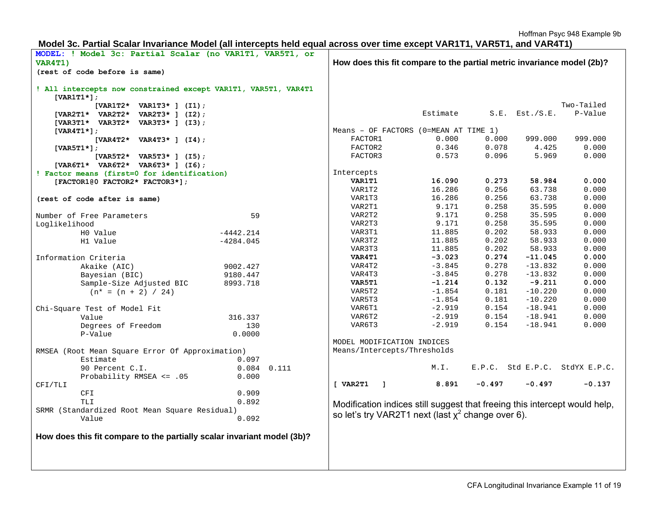# **Model 3c. Partial Scalar Invariance Model (all intercepts held equal across over time except VAR1T1, VAR5T1, and VAR4T1)**

| MODEL: ! Model 3c: Partial Scalar (no VAR1T1, VAR5T1, or                             |                                                                            |          |          |                     |                                |
|--------------------------------------------------------------------------------------|----------------------------------------------------------------------------|----------|----------|---------------------|--------------------------------|
| VAR4T1)                                                                              | How does this fit compare to the partial metric invariance model (2b)?     |          |          |                     |                                |
| (rest of code before is same)                                                        |                                                                            |          |          |                     |                                |
| ! All intercepts now constrained except VAR1T1, VAR5T1, VAR4T1<br>[VAR1T1 $\star$ ]; |                                                                            |          |          |                     |                                |
| $[VARIT2* VARIT3*] (I1);$                                                            |                                                                            |          |          |                     | Two-Tailed                     |
| $[VAR2T1* VAR2T2* VAR2T3*] (I2);$                                                    |                                                                            | Estimate |          | $S.E.$ Est./ $S.E.$ | P-Value                        |
| [VAR3T1* VAR3T2* VAR3T3* ] (I3);                                                     |                                                                            |          |          |                     |                                |
| $[VAR4T1*]$ ;                                                                        | Means - OF FACTORS ( $0$ =MEAN AT TIME 1)                                  |          |          |                     |                                |
| $[VAR4T2* VAR4T3*] (I4);$                                                            | FACTOR1                                                                    | 0.000    | 0.000    | 999.000             | 999.000                        |
| [VAR5T1 $\star$ ];                                                                   | FACTOR2                                                                    | 0.346    | 0.078    | 4.425               | 0.000                          |
| $[VAR5T2* VAR5T3*]$ (15);                                                            | FACTOR3                                                                    | 0.573    | 0.096    | 5.969               | 0.000                          |
| [VAR6T1* VAR6T2* VAR6T3* ] (I6);                                                     |                                                                            |          |          |                     |                                |
| ! Factor means (first=0 for identification)                                          | Intercepts                                                                 |          |          |                     |                                |
| $[FACTOR1@0$ FACTOR2* FACTOR3*];                                                     | VAR1T1                                                                     | 16.090   | 0.273    | 58.984              | 0.000                          |
|                                                                                      | VAR1T2                                                                     | 16.286   | 0.256    | 63.738              | 0.000                          |
| (rest of code after is same)                                                         | VAR1T3                                                                     | 16.286   | 0.256    | 63.738              | 0.000                          |
|                                                                                      | VAR2T1                                                                     | 9.171    | 0.258    | 35.595              | 0.000                          |
| 59<br>Number of Free Parameters                                                      | VAR2T2                                                                     | 9.171    | 0.258    | 35.595              | 0.000                          |
| Loglikelihood                                                                        | VAR2T3                                                                     | 9.171    | 0.258    | 35.595              | 0.000                          |
| H0 Value<br>$-4442.214$                                                              | VAR3T1                                                                     | 11.885   | 0.202    | 58.933              | 0.000                          |
| H1 Value<br>$-4284.045$                                                              | VAR3T2                                                                     | 11.885   | 0.202    | 58.933              | 0.000                          |
|                                                                                      | VAR3T3                                                                     | 11.885   | 0.202    | 58.933              | 0.000                          |
| Information Criteria                                                                 | VAR4T1                                                                     | $-3.023$ | 0.274    | $-11.045$           | 0.000                          |
| Akaike (AIC)<br>9002.427                                                             | VAR4T2                                                                     | $-3.845$ | 0.278    | $-13.832$           | 0.000                          |
| Bayesian (BIC)<br>9180.447                                                           | VAR4T3                                                                     | $-3.845$ | 0.278    | $-13.832$           | 0.000                          |
| Sample-Size Adjusted BIC<br>8993.718                                                 | VAR5T1                                                                     | $-1.214$ | 0.132    | $-9.211$            | 0.000                          |
| $(n* = (n + 2) / 24)$                                                                | VAR5T2                                                                     | $-1.854$ | 0.181    | $-10.220$           | 0.000                          |
|                                                                                      | VAR5T3                                                                     | $-1.854$ | 0.181    | $-10.220$           | 0.000                          |
| Chi-Square Test of Model Fit                                                         | VAR6T1                                                                     | $-2.919$ | 0.154    | $-18.941$           | 0.000                          |
| Value<br>316.337                                                                     | VAR6T2                                                                     | $-2.919$ | 0.154    | $-18.941$           | 0.000                          |
| Degrees of Freedom<br>130                                                            | VAR6T3                                                                     | $-2.919$ | 0.154    | $-18.941$           | 0.000                          |
| P-Value<br>0.0000                                                                    |                                                                            |          |          |                     |                                |
|                                                                                      | MODEL MODIFICATION INDICES                                                 |          |          |                     |                                |
| RMSEA (Root Mean Square Error Of Approximation)                                      | Means/Intercepts/Thresholds                                                |          |          |                     |                                |
| 0.097<br>Estimate                                                                    |                                                                            |          |          |                     |                                |
| $0.084$ $0.111$<br>90 Percent C.I.                                                   |                                                                            | M.L.     |          |                     | E.P.C. Std E.P.C. StdYX E.P.C. |
| Probability RMSEA <= .05<br>0.000                                                    |                                                                            |          |          |                     |                                |
| CFI/TLI                                                                              | $[$ VAR $2T1$<br>$\blacksquare$                                            | 8.891    | $-0.497$ | $-0.497$            | $-0.137$                       |
| 0.909<br>CFI                                                                         |                                                                            |          |          |                     |                                |
| 0.892<br>TLI                                                                         | Modification indices still suggest that freeing this intercept would help, |          |          |                     |                                |
| SRMR (Standardized Root Mean Square Residual)                                        | so let's try VAR2T1 next (last $\chi^2$ change over 6).                    |          |          |                     |                                |
| 0.092<br>Value                                                                       |                                                                            |          |          |                     |                                |
|                                                                                      |                                                                            |          |          |                     |                                |
| How does this fit compare to the partially scalar invariant model (3b)?              |                                                                            |          |          |                     |                                |
|                                                                                      |                                                                            |          |          |                     |                                |
|                                                                                      |                                                                            |          |          |                     |                                |
|                                                                                      |                                                                            |          |          |                     |                                |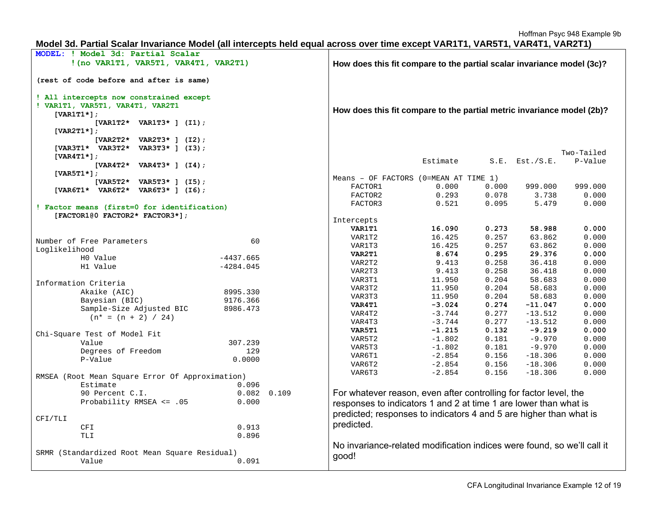# **Model 3d. Partial Scalar Invariance Model (all intercepts held equal across over time except VAR1T1, VAR5T1, VAR4T1, VAR2T1)**

| MODEL: ! Model 3d: Partial Scalar               |                                                                        |                 |                                                                         |          |       |                     |            |
|-------------------------------------------------|------------------------------------------------------------------------|-----------------|-------------------------------------------------------------------------|----------|-------|---------------------|------------|
| !(no VARITI, VAR5T1, VAR4T1, VAR2T1)            |                                                                        |                 | How does this fit compare to the partial scalar invariance model (3c)?  |          |       |                     |            |
|                                                 |                                                                        |                 |                                                                         |          |       |                     |            |
| (rest of code before and after is same)         |                                                                        |                 |                                                                         |          |       |                     |            |
| ! All intercepts now constrained except         |                                                                        |                 |                                                                         |          |       |                     |            |
| ! VAR1T1, VAR5T1, VAR4T1, VAR2T1                |                                                                        |                 |                                                                         |          |       |                     |            |
| $[VART1*];$                                     | How does this fit compare to the partial metric invariance model (2b)? |                 |                                                                         |          |       |                     |            |
| $[VARIT2* VARIT3*] (I1);$                       |                                                                        |                 |                                                                         |          |       |                     |            |
| [VAR2T1 $\star$ ];                              |                                                                        |                 |                                                                         |          |       |                     |            |
| $[VAR2T2* VAR2T3*] (I2);$                       |                                                                        |                 |                                                                         |          |       |                     |            |
| [VAR3T1* VAR3T2* VAR3T3* ] (I3);                |                                                                        |                 |                                                                         |          |       |                     |            |
| [VAR4T1*];                                      |                                                                        |                 |                                                                         |          |       |                     | Two-Tailed |
| [VAR4T2* VAR4T3* ] $(14)$ ;                     |                                                                        |                 |                                                                         | Estimate |       | $S.E.$ Est./ $S.E.$ | P-Value    |
| [VAR5T1 $\star$ ];                              |                                                                        |                 |                                                                         |          |       |                     |            |
| $[VAR5T2* VAR5T3*]$ (15);                       |                                                                        |                 | Means - OF FACTORS (0=MEAN AT TIME 1)                                   |          |       |                     |            |
| [VAR6T1* VAR6T2* VAR6T3* ] (I6);                |                                                                        |                 | FACTOR1                                                                 | 0.000    | 0.000 | 999.000             | 999.000    |
|                                                 |                                                                        |                 | FACTOR2                                                                 | 0.293    | 0.078 | 3.738               | 0.000      |
| ! Factor means (first=0 for identification)     |                                                                        |                 | FACTOR3                                                                 | 0.521    | 0.095 | 5.479               | 0.000      |
| [FACTOR100 FACTOR2* FACTOR3*];                  |                                                                        |                 |                                                                         |          |       |                     |            |
|                                                 |                                                                        |                 | Intercepts                                                              |          |       |                     |            |
|                                                 |                                                                        |                 | VAR1T1                                                                  | 16.090   | 0.273 | 58.988              | 0.000      |
| Number of Free Parameters                       | 60                                                                     |                 | VAR1T2                                                                  | 16.425   | 0.257 | 63.862              | 0.000      |
| Loglikelihood                                   |                                                                        |                 | VAR1T3                                                                  | 16.425   | 0.257 | 63.862              | 0.000      |
| H0 Value                                        | $-4437.665$                                                            |                 | VAR2T1                                                                  | 8.674    | 0.295 | 29.376              | 0.000      |
| H1 Value                                        | $-4284.045$                                                            |                 | VAR2T2                                                                  | 9.413    | 0.258 | 36.418              | 0.000      |
|                                                 |                                                                        |                 | VAR2T3                                                                  | 9.413    | 0.258 | 36.418              | 0.000      |
| Information Criteria                            |                                                                        |                 | VAR3T1                                                                  | 11.950   | 0.204 | 58.683              | 0.000      |
| Akaike (AIC)                                    | 8995.330                                                               |                 | VAR3T2                                                                  | 11.950   | 0.204 | 58.683              | 0.000      |
| Bayesian (BIC)                                  | 9176.366                                                               |                 | VAR3T3                                                                  | 11.950   | 0.204 | 58.683              | 0.000      |
| Sample-Size Adjusted BIC                        | 8986.473                                                               |                 | VAR4T1                                                                  | $-3.024$ | 0.274 | $-11.047$           | 0.000      |
| $(n* = (n + 2) / 24)$                           |                                                                        |                 | VAR4T2                                                                  | $-3.744$ | 0.277 | $-13.512$           | 0.000      |
|                                                 |                                                                        |                 | VAR4T3                                                                  | $-3.744$ | 0.277 | $-13.512$           | 0.000      |
| Chi-Square Test of Model Fit                    |                                                                        |                 | VAR5T1                                                                  | $-1.215$ | 0.132 | $-9.219$            | 0.000      |
| Value                                           | 307.239                                                                |                 | VAR5T2                                                                  | $-1.802$ | 0.181 | $-9.970$            | 0.000      |
| Degrees of Freedom                              | 129                                                                    |                 | VAR5T3                                                                  | $-1.802$ | 0.181 | $-9.970$            | 0.000      |
| P-Value                                         | 0.0000                                                                 |                 | VAR6T1                                                                  | $-2.854$ | 0.156 | $-18.306$           | 0.000      |
|                                                 |                                                                        |                 | VAR6T2                                                                  | $-2.854$ | 0.156 | $-18.306$           | 0.000      |
| RMSEA (Root Mean Square Error Of Approximation) |                                                                        |                 | VAR6T3                                                                  | $-2.854$ | 0.156 | $-18.306$           | 0.000      |
| Estimate                                        | 0.096                                                                  |                 |                                                                         |          |       |                     |            |
| 90 Percent C.I.                                 |                                                                        | $0.082$ $0.109$ | For whatever reason, even after controlling for factor level, the       |          |       |                     |            |
| Probability RMSEA <= .05                        | 0.000                                                                  |                 | responses to indicators 1 and 2 at time 1 are lower than what is        |          |       |                     |            |
|                                                 |                                                                        |                 |                                                                         |          |       |                     |            |
| CFI/TLI                                         |                                                                        |                 | predicted; responses to indicators 4 and 5 are higher than what is      |          |       |                     |            |
| <b>CFI</b>                                      | 0.913                                                                  |                 | predicted.                                                              |          |       |                     |            |
| TLI                                             | 0.896                                                                  |                 |                                                                         |          |       |                     |            |
|                                                 |                                                                        |                 | No invariance-related modification indices were found, so we'll call it |          |       |                     |            |
| SRMR (Standardized Root Mean Square Residual)   |                                                                        |                 |                                                                         |          |       |                     |            |
| Value                                           | 0.091                                                                  |                 | good!                                                                   |          |       |                     |            |
|                                                 |                                                                        |                 |                                                                         |          |       |                     |            |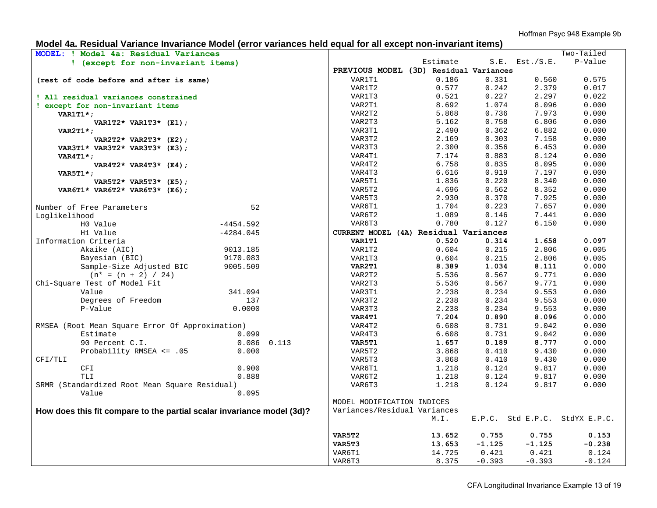# **Model 4a. Residual Variance Invariance Model (error variances held equal for all except non-invariant items)**

| MODEL: ! Model 4a: Residual Variances                                  |                 |                              |                                        |          |                     | Two-Tailed                     |
|------------------------------------------------------------------------|-----------------|------------------------------|----------------------------------------|----------|---------------------|--------------------------------|
| ! (except for non-invariant items)                                     |                 |                              | Estimate                               |          | $S.E.$ Est./ $S.E.$ | P-Value                        |
|                                                                        |                 |                              | PREVIOUS MODEL (3D) Residual Variances |          |                     |                                |
| (rest of code before and after is same)                                |                 | VAR1T1                       | 0.186                                  | 0.331    | 0.560               | 0.575                          |
|                                                                        |                 | VAR1T2                       | 0.577                                  | 0.242    | 2.379               | 0.017                          |
| ! All residual variances constrained                                   |                 | VAR1T3                       | 0.521                                  | 0.227    | 2.297               | 0.022                          |
| ! except for non-invariant items                                       |                 | VAR2T1                       | 8.692                                  | 1.074    | 8.096               | 0.000                          |
| $VARITI*$ ;                                                            |                 | VAR2T2                       | 5.868                                  | 0.736    | 7.973               | 0.000                          |
| VAR1T2* VAR1T3* $(E1)$ ;                                               |                 | VAR2T3                       | 5.162                                  | 0.758    | 6.806               | 0.000                          |
| VAR2T1 $\star$ ;                                                       |                 | VAR3T1                       | 2.490                                  | 0.362    | 6.882               | 0.000                          |
| VAR2T2* VAR2T3* (E2);                                                  |                 | VAR3T2                       | 2.169                                  | 0.303    | 7.158               | 0.000                          |
| VAR3T1* VAR3T2* VAR3T3* (E3);                                          |                 | VAR3T3                       | 2.300                                  | 0.356    | 6.453               | 0.000                          |
| $VART1$ *;                                                             |                 | VAR4T1                       | 7.174                                  | 0.883    | 8.124               | 0.000                          |
| VAR4T2* VAR4T3* $(E4)$ ;                                               |                 | VAR4T2                       | 6.758                                  | 0.835    | 8.095               | 0.000                          |
| $VAR5T1*$ ;                                                            |                 | VAR4T3                       | 6.616                                  | 0.919    | 7.197               | 0.000                          |
| VAR5T2* VAR5T3* (E5);                                                  |                 | VAR5T1                       | 1.836                                  | 0.220    | 8.340               | 0.000                          |
| VAR6T1* VAR6T2* VAR6T3* (E6);                                          |                 | VAR5T2                       | 4.696                                  | 0.562    | 8.352               | 0.000                          |
|                                                                        |                 | VAR5T3                       | 2.930                                  | 0.370    | 7.925               | 0.000                          |
| Number of Free Parameters                                              | 52              | VAR6T1                       | 1.704                                  | 0.223    | 7.657               | 0.000                          |
| Loglikelihood                                                          |                 | VAR6T2                       | 1.089                                  | 0.146    | 7.441               | 0.000                          |
| H0 Value                                                               | $-4454.592$     | VAR6T3                       | 0.780                                  | 0.127    | 6.150               | 0.000                          |
| H1 Value                                                               | $-4284.045$     |                              | CURRENT MODEL (4A) Residual Variances  |          |                     |                                |
| Information Criteria                                                   |                 | VAR1T1                       | 0.520                                  | 0.314    | 1.658               | 0.097                          |
| Akaike (AIC)                                                           | 9013.185        | VAR1T2                       | 0.604                                  | 0.215    | 2.806               | 0.005                          |
| Bayesian (BIC)                                                         | 9170.083        | VAR1T3                       | 0.604                                  | 0.215    | 2.806               | 0.005                          |
| Sample-Size Adjusted BIC                                               | 9005.509        | VAR2T1                       | 8.389                                  | 1.034    | 8.111               | 0.000                          |
| $(n* = (n + 2) / 24)$                                                  |                 | VAR2T2                       | 5.536                                  | 0.567    | 9.771               | 0.000                          |
| Chi-Square Test of Model Fit                                           |                 | VAR2T3                       | 5.536                                  | 0.567    | 9.771               | 0.000                          |
| Value                                                                  | 341.094         | VAR3T1                       | 2.238                                  | 0.234    | 9.553               | 0.000                          |
| Degrees of Freedom                                                     | 137             | VAR3T2                       | 2.238                                  | 0.234    | 9.553               | 0.000                          |
| P-Value                                                                | 0.0000          | VAR3T3                       | 2.238                                  | 0.234    | 9.553               | 0.000                          |
|                                                                        |                 | VAR4T1                       | 7.204                                  | 0.890    | 8.096               | 0.000                          |
| RMSEA (Root Mean Square Error Of Approximation)                        |                 | VAR4T2                       | 6.608                                  | 0.731    | 9.042               | 0.000                          |
| Estimate                                                               | 0.099           | VAR4T3                       | 6.608                                  | 0.731    | 9.042               | 0.000                          |
| 90 Percent C.I.                                                        | $0.086$ $0.113$ | VAR5T1                       | 1.657                                  | 0.189    | 8.777               | 0.000                          |
| Probability RMSEA <= .05                                               | 0.000           | VAR5T2                       | 3.868                                  | 0.410    | 9.430               | 0.000                          |
| CFI/TLI                                                                |                 | VAR5T3                       | 3.868                                  | 0.410    | 9.430               | 0.000                          |
| CFI                                                                    | 0.900           | VAR6T1                       | 1.218                                  | 0.124    | 9.817               | 0.000                          |
| <b>TLI</b>                                                             | 0.888           | VAR6T2                       | 1.218                                  | 0.124    | 9.817               | 0.000                          |
| SRMR (Standardized Root Mean Square Residual)                          |                 | VAR6T3                       | 1.218                                  | 0.124    | 9.817               | 0.000                          |
| Value                                                                  | 0.095           |                              |                                        |          |                     |                                |
|                                                                        |                 | MODEL MODIFICATION INDICES   |                                        |          |                     |                                |
| How does this fit compare to the partial scalar invariance model (3d)? |                 | Variances/Residual Variances |                                        |          |                     |                                |
|                                                                        |                 |                              | M.I.                                   |          |                     | E.P.C. Std E.P.C. StdYX E.P.C. |
|                                                                        |                 | <b>VAR5T2</b>                | 13.652                                 | 0.755    | 0.755               | 0.153                          |
|                                                                        |                 | VAR5T3                       | 13.653                                 | $-1.125$ | $-1.125$            | $-0.238$                       |
|                                                                        |                 | VAR6T1                       | 14.725                                 | 0.421    | 0.421               | 0.124                          |
|                                                                        |                 | VAR6T3                       | 8.375                                  | $-0.393$ | $-0.393$            | $-0.124$                       |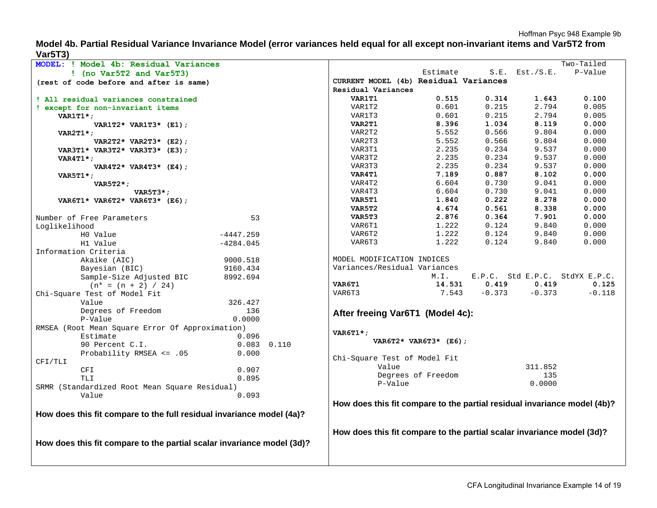**Model 4b. Partial Residual Variance Invariance Model (error variances held equal for all except non-invariant items and Var5T2 from Var5T3)** 

| . ,                                                                    |                 |                                                                          |                          |          |                     | Two-Tailed                     |
|------------------------------------------------------------------------|-----------------|--------------------------------------------------------------------------|--------------------------|----------|---------------------|--------------------------------|
| MODEL: ! Model 4b: Residual Variances                                  |                 |                                                                          |                          |          | $S.E.$ Est./ $S.E.$ | P-Value                        |
| $!$ (no Var5T2 and Var5T3)                                             |                 |                                                                          | Estimate                 |          |                     |                                |
| (rest of code before and after is same)                                |                 | CURRENT MODEL (4b) Residual Variances                                    |                          |          |                     |                                |
|                                                                        |                 | Residual Variances                                                       |                          |          |                     |                                |
| ! All residual variances constrained                                   |                 | VAR1T1                                                                   | 0.515                    | 0.314    | 1.643               | 0.100                          |
| ! except for non-invariant items                                       |                 | VAR1T2                                                                   | 0.601                    | 0.215    | 2.794               | 0.005                          |
| $VARITI*$ ;                                                            |                 | VAR1T3                                                                   | 0.601                    | 0.215    | 2.794               | 0.005                          |
| VAR1T2* VAR1T3* $(E1)$ ;                                               |                 | VAR2T1                                                                   | 8.396                    | 1.034    | 8.119               | 0.000                          |
| $VAR2T1*$                                                              |                 | VAR2T2                                                                   | 5.552                    | 0.566    | 9.804               | 0.000                          |
| VAR2T2* VAR2T3* $(E2)$ ;                                               |                 | VAR2T3                                                                   | 5.552                    | 0.566    | 9.804               | 0.000                          |
| VAR3T1* VAR3T2* VAR3T3* (E3);                                          |                 | VAR3T1                                                                   | 2.235                    | 0.234    | 9.537               | 0.000                          |
| $VAR4T1*$ ;                                                            |                 | VAR3T2                                                                   | 2.235                    | 0.234    | 9.537               | 0.000                          |
| VAR4T2* VAR4T3* $(E4)$ ;                                               |                 | VAR3T3                                                                   | 2.235                    | 0.234    | 9.537               | 0.000                          |
| $VAR5T1*$ ;                                                            |                 | <b>VAR4T1</b>                                                            | 7.189                    | 0.887    | 8.102               | 0.000                          |
| $VAR5T2*$ ;                                                            |                 | VAR4T2                                                                   | 6.604                    | 0.730    | 9.041               | 0.000                          |
| $VAR5T3*$ ;                                                            |                 | VAR4T3                                                                   | 6.604                    | 0.730    | 9.041               | 0.000                          |
| VAR6T1* VAR6T2* VAR6T3* (E6);                                          |                 | VAR5T1                                                                   | 1.840                    | 0.222    | 8.278               | 0.000                          |
|                                                                        |                 | VAR5T2                                                                   | 4.674                    | 0.561    | 8.338               | 0.000                          |
| Number of Free Parameters                                              | 53              | VAR5T3                                                                   | 2.876                    | 0.364    | 7.901               | 0.000                          |
| Loglikelihood                                                          |                 | VAR6T1                                                                   | 1.222                    | 0.124    | 9.840               | 0.000                          |
| HO Value                                                               | $-4447.259$     | VAR6T2                                                                   | 1.222                    | 0.124    | 9.840               | 0.000                          |
| H1 Value                                                               | $-4284.045$     | VAR6T3                                                                   | 1.222                    | 0.124    | 9.840               | 0.000                          |
| Information Criteria                                                   |                 |                                                                          |                          |          |                     |                                |
| Akaike (AIC)                                                           | 9000.518        | MODEL MODIFICATION INDICES                                               |                          |          |                     |                                |
|                                                                        |                 | Variances/Residual Variances                                             |                          |          |                     |                                |
| Bayesian (BIC)                                                         | 9160.434        |                                                                          | M.I.                     |          |                     | E.P.C. Std E.P.C. StdYX E.P.C. |
| Sample-Size Adjusted BIC                                               | 8992.694        | <b>VAR6T1</b>                                                            | 14.531                   | 0.419    | 0.419               | 0.125                          |
| $(n* = (n + 2) / 24)$                                                  |                 |                                                                          |                          | $-0.373$ |                     |                                |
| Chi-Square Test of Model Fit                                           |                 | VAR6T3                                                                   | 7.543                    |          | $-0.373$            | $-0.118$                       |
| Value                                                                  | 326.427         |                                                                          |                          |          |                     |                                |
| Degrees of Freedom                                                     | 136             | After freeing Var6T1 (Model 4c):                                         |                          |          |                     |                                |
| P-Value                                                                | 0.0000          |                                                                          |                          |          |                     |                                |
| RMSEA (Root Mean Square Error Of Approximation)                        |                 | $VART1$ *;                                                               |                          |          |                     |                                |
| Estimate                                                               | 0.096           |                                                                          | VAR6T2* VAR6T3* $(E6)$ ; |          |                     |                                |
| 90 Percent C.I.                                                        | $0.083$ $0.110$ |                                                                          |                          |          |                     |                                |
| Probability RMSEA $\leq$ .05                                           | 0.000           |                                                                          |                          |          |                     |                                |
| CFI/TLI                                                                |                 | Chi-Square Test of Model Fit<br>Value                                    |                          |          | 311.852             |                                |
| <b>CFI</b>                                                             | 0.907           |                                                                          |                          |          | 135                 |                                |
| TLI                                                                    | 0.895           |                                                                          | Degrees of Freedom       |          |                     |                                |
| SRMR (Standardized Root Mean Square Residual)                          |                 | P-Value                                                                  |                          |          | 0.0000              |                                |
| Value                                                                  | 0.093           |                                                                          |                          |          |                     |                                |
|                                                                        |                 | How does this fit compare to the partial residual invariance model (4b)? |                          |          |                     |                                |
| How does this fit compare to the full residual invariance model (4a)?  |                 |                                                                          |                          |          |                     |                                |
|                                                                        |                 |                                                                          |                          |          |                     |                                |
|                                                                        |                 |                                                                          |                          |          |                     |                                |
|                                                                        |                 | How does this fit compare to the partial scalar invariance model (3d)?   |                          |          |                     |                                |
| How does this fit compare to the partial scalar invariance model (3d)? |                 |                                                                          |                          |          |                     |                                |
|                                                                        |                 |                                                                          |                          |          |                     |                                |
|                                                                        |                 |                                                                          |                          |          |                     |                                |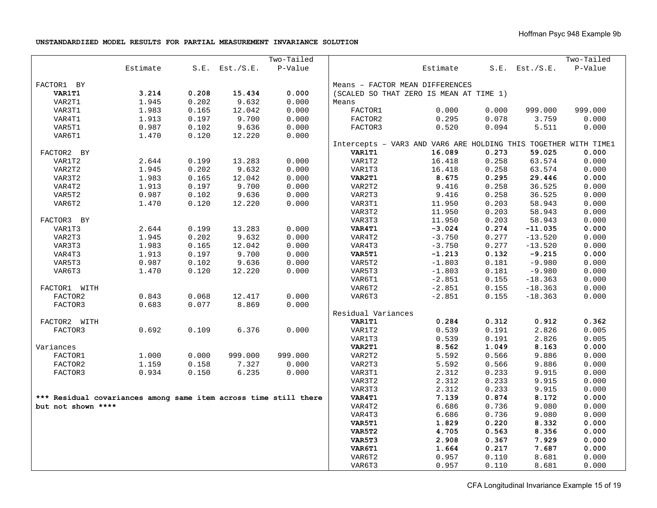#### **UNSTANDARDIZED MODEL RESULTS FOR PARTIAL MEASUREMENT INVARIANCE SOLUTION**

|                                                                  |          |       |                     | Two-Tailed |                    |                                                                 |       |                     | Two-Tailed |
|------------------------------------------------------------------|----------|-------|---------------------|------------|--------------------|-----------------------------------------------------------------|-------|---------------------|------------|
|                                                                  | Estimate |       | $S.E.$ Est./ $S.E.$ | P-Value    |                    | Estimate                                                        |       | $S.E.$ Est./ $S.E.$ | P-Value    |
| FACTOR1 BY                                                       |          |       |                     |            |                    | Means - FACTOR MEAN DIFFERENCES                                 |       |                     |            |
| <b>VAR1T1</b>                                                    | 3.214    | 0.208 | 15.434              | 0.000      |                    | (SCALED SO THAT ZERO IS MEAN AT TIME 1)                         |       |                     |            |
| VAR2T1                                                           | 1.945    | 0.202 | 9.632               | 0.000      | Means              |                                                                 |       |                     |            |
| VAR3T1                                                           | 1.983    | 0.165 | 12.042              | 0.000      | FACTOR1            | 0.000                                                           | 0.000 | 999.000             | 999.000    |
| VAR4T1                                                           | 1.913    | 0.197 | 9.700               | 0.000      | FACTOR2            | 0.295                                                           | 0.078 | 3.759               | 0.000      |
| VAR5T1                                                           | 0.987    | 0.102 | 9.636               | 0.000      | FACTOR3            | 0.520                                                           | 0.094 | 5.511               | 0.000      |
| VAR6T1                                                           | 1.470    | 0.120 | 12.220              | 0.000      |                    |                                                                 |       |                     |            |
|                                                                  |          |       |                     |            |                    | Intercepts - VAR3 AND VAR6 ARE HOLDING THIS TOGETHER WITH TIME1 |       |                     |            |
| FACTOR2 BY                                                       |          |       |                     |            | <b>VAR1T1</b>      | 16.089                                                          | 0.273 | 59.025              | 0.000      |
| VAR1T2                                                           | 2.644    | 0.199 | 13.283              | 0.000      | VAR1T2             | 16.418                                                          | 0.258 | 63.574              | 0.000      |
| VAR2T2                                                           | 1.945    | 0.202 | 9.632               | 0.000      | VAR1T3             | 16.418                                                          | 0.258 | 63.574              | 0.000      |
| VAR3T2                                                           | 1.983    | 0.165 | 12.042              | 0.000      | VAR2T1             | 8.675                                                           | 0.295 | 29.446              | 0.000      |
| VAR4T2                                                           | 1.913    | 0.197 | 9.700               | 0.000      | VAR2T2             | 9.416                                                           | 0.258 | 36.525              | 0.000      |
| VAR5T2                                                           | 0.987    | 0.102 | 9.636               | 0.000      | VAR2T3             | 9.416                                                           | 0.258 | 36.525              | 0.000      |
| VAR6T2                                                           | 1.470    | 0.120 | 12.220              | 0.000      | VAR3T1             | 11.950                                                          | 0.203 | 58.943              | 0.000      |
|                                                                  |          |       |                     |            | VAR3T2             | 11.950                                                          | 0.203 | 58.943              | 0.000      |
| FACTOR3 BY                                                       |          |       |                     |            | VAR3T3             | 11.950                                                          | 0.203 | 58.943              | 0.000      |
| VAR1T3                                                           | 2.644    | 0.199 | 13.283              | 0.000      | VAR4T1             | $-3.024$                                                        | 0.274 | $-11.035$           | 0.000      |
| VAR2T3                                                           | 1.945    | 0.202 | 9.632               | 0.000      | VAR4T2             | $-3.750$                                                        | 0.277 | $-13.520$           | 0.000      |
| VAR3T3                                                           | 1.983    | 0.165 | 12.042              | 0.000      | VAR4T3             | $-3.750$                                                        | 0.277 | $-13.520$           | 0.000      |
| VAR4T3                                                           | 1.913    | 0.197 | 9.700               | 0.000      | VAR5T1             | $-1.213$                                                        | 0.132 | $-9.215$            | 0.000      |
| VAR5T3                                                           | 0.987    | 0.102 | 9.636               | 0.000      | VAR5T2             | $-1.803$                                                        | 0.181 | $-9.980$            | 0.000      |
| VAR6T3                                                           | 1.470    | 0.120 | 12.220              | 0.000      | VAR5T3             | $-1.803$                                                        | 0.181 | $-9.980$            | 0.000      |
|                                                                  |          |       |                     |            | VAR6T1             | $-2.851$                                                        | 0.155 | $-18.363$           | 0.000      |
| FACTOR1 WITH                                                     |          |       |                     |            | VAR6T2             | $-2.851$                                                        | 0.155 | $-18.363$           | 0.000      |
| FACTOR2                                                          | 0.843    | 0.068 | 12.417              | 0.000      | VAR6T3             | $-2.851$                                                        | 0.155 | $-18.363$           | 0.000      |
| FACTOR3                                                          | 0.683    | 0.077 | 8.869               | 0.000      |                    |                                                                 |       |                     |            |
|                                                                  |          |       |                     |            | Residual Variances |                                                                 |       |                     |            |
| FACTOR2 WITH                                                     |          |       |                     |            | VAR1T1             | 0.284                                                           | 0.312 | 0.912               | 0.362      |
| FACTOR3                                                          | 0.692    | 0.109 | 6.376               | 0.000      | VAR1T2             | 0.539                                                           | 0.191 | 2.826               | 0.005      |
|                                                                  |          |       |                     |            | VAR1T3             | 0.539                                                           | 0.191 | 2.826               | 0.005      |
| Variances                                                        |          |       |                     |            | VAR2T1             | 8.562                                                           | 1.049 | 8.163               | 0.000      |
| FACTOR1                                                          | 1.000    | 0.000 | 999.000             | 999.000    | VAR2T2             | 5.592                                                           | 0.566 | 9.886               | 0.000      |
| FACTOR2                                                          | 1.159    | 0.158 | 7.327               | 0.000      | VAR2T3             | 5.592                                                           | 0.566 | 9.886               | 0.000      |
| FACTOR3                                                          | 0.934    | 0.150 | 6.235               | 0.000      | VAR3T1             | 2.312                                                           | 0.233 | 9.915               | 0.000      |
|                                                                  |          |       |                     |            | VAR3T2             | 2.312                                                           | 0.233 | 9.915               | 0.000      |
|                                                                  |          |       |                     |            | VAR3T3             | 2.312                                                           | 0.233 | 9.915               | 0.000      |
| *** Residual covariances among same item across time still there |          |       |                     |            | VAR4T1             | 7.139                                                           | 0.874 | 8.172               | 0.000      |
| but not shown ****                                               |          |       |                     |            | VAR4T2             | 6.686                                                           | 0.736 | 9.080               | 0.000      |
|                                                                  |          |       |                     |            | VAR4T3             | 6.686                                                           | 0.736 | 9.080               | 0.000      |
|                                                                  |          |       |                     |            | VAR5T1             | 1.829                                                           | 0.220 | 8.332               | 0.000      |
|                                                                  |          |       |                     |            | VAR5T2             | 4.705                                                           | 0.563 | 8.356               | 0.000      |
|                                                                  |          |       |                     |            | VAR5T3             | 2.908                                                           | 0.367 | 7.929               | 0.000      |
|                                                                  |          |       |                     |            | VAR6T1             | 1.664                                                           | 0.217 | 7.687               | 0.000      |
|                                                                  |          |       |                     |            | VAR6T2             | 0.957                                                           | 0.110 | 8.681               | 0.000      |
|                                                                  |          |       |                     |            | VAR6T3             | 0.957                                                           | 0.110 | 8.681               | 0.000      |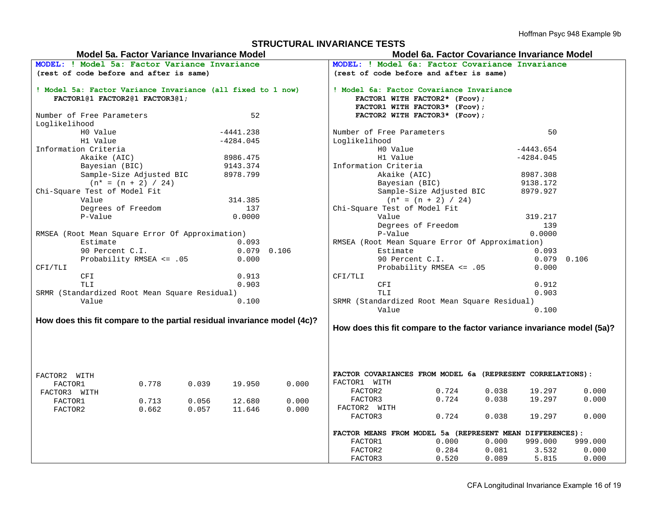#### **STRUCTURAL INVARIANCE TESTS**

# **Model 5a. Factor Variance Invariance Model Model 6a. Factor Covariance Invariance Model**

|                                                                                               | MODEL: ! Model 5a: Factor Variance Invariance |       |             |                                                                           | MODEL: ! Model 6a: Factor Covariance Invariance |                                                                         |       |             |               |  |
|-----------------------------------------------------------------------------------------------|-----------------------------------------------|-------|-------------|---------------------------------------------------------------------------|-------------------------------------------------|-------------------------------------------------------------------------|-------|-------------|---------------|--|
| (rest of code before and after is same)                                                       |                                               |       |             |                                                                           |                                                 | (rest of code before and after is same)                                 |       |             |               |  |
| ! Model 5a: Factor Variance Invariance (all fixed to 1 now)<br>FACTOR1@1 FACTOR2@1 FACTOR3@1; |                                               |       |             | ! Model 6a: Factor Covariance Invariance<br>FACTOR1 WITH FACTOR2* (Fcov); |                                                 |                                                                         |       |             |               |  |
|                                                                                               |                                               |       |             |                                                                           |                                                 | FACTOR1 WITH FACTOR3* (Fcov);                                           |       |             |               |  |
| Number of Free Parameters                                                                     |                                               |       | 52          |                                                                           |                                                 | FACTOR2 WITH FACTOR3* (Fcov);                                           |       |             |               |  |
| Loglikelihood                                                                                 |                                               |       |             |                                                                           |                                                 |                                                                         |       |             |               |  |
| HO Value                                                                                      |                                               |       | $-4441.238$ |                                                                           | Number of Free Parameters                       |                                                                         |       | 50          |               |  |
| H1 Value                                                                                      |                                               |       | $-4284.045$ |                                                                           | Loglikelihood                                   |                                                                         |       |             |               |  |
| Information Criteria                                                                          |                                               |       |             |                                                                           | HO Value                                        |                                                                         |       | $-4443.654$ |               |  |
| Akaike (AIC)                                                                                  |                                               |       | 8986.475    |                                                                           | H1 Value                                        |                                                                         |       | $-4284.045$ |               |  |
| Bayesian (BIC)                                                                                |                                               |       | 9143.374    |                                                                           | Information Criteria                            |                                                                         |       |             |               |  |
|                                                                                               | Sample-Size Adjusted BIC                      |       | 8978.799    |                                                                           |                                                 | Akaike (AIC)                                                            |       | 8987.308    |               |  |
|                                                                                               | $(n* = (n + 2) / 24)$                         |       |             |                                                                           |                                                 | Bayesian (BIC)                                                          |       | 9138.172    |               |  |
| Chi-Square Test of Model Fit                                                                  |                                               |       |             |                                                                           |                                                 | Sample-Size Adjusted BIC                                                |       | 8979.927    |               |  |
| Value                                                                                         |                                               |       | 314.385     |                                                                           |                                                 | $(n* = (n + 2) / 24)$                                                   |       |             |               |  |
|                                                                                               | Degrees of Freedom                            |       | 137         |                                                                           | Chi-Square Test of Model Fit                    |                                                                         |       |             |               |  |
| P-Value                                                                                       |                                               |       | 0.0000      |                                                                           | Value                                           |                                                                         |       | 319.217     |               |  |
|                                                                                               |                                               |       |             |                                                                           |                                                 | Degrees of Freedom                                                      |       | 139         |               |  |
| RMSEA (Root Mean Square Error Of Approximation)                                               |                                               |       |             |                                                                           | P-Value<br>0.0000                               |                                                                         |       |             |               |  |
| Estimate                                                                                      |                                               |       | 0.093       |                                                                           | RMSEA (Root Mean Square Error Of Approximation) |                                                                         |       |             |               |  |
| 90 Percent C.I.                                                                               |                                               |       |             | $0.079$ 0.106                                                             | Estimate                                        |                                                                         |       | 0.093       |               |  |
|                                                                                               | Probability RMSEA <= .05                      |       | 0.000       |                                                                           |                                                 | 90 Percent C.I.                                                         |       |             | $0.079$ 0.106 |  |
| CFI/TLI                                                                                       |                                               |       |             |                                                                           |                                                 | Probability RMSEA <= .05                                                |       | 0.000       |               |  |
| CFI                                                                                           |                                               |       | 0.913       |                                                                           | CFI/TLI                                         |                                                                         |       |             |               |  |
| TLI                                                                                           |                                               |       | 0.903       |                                                                           | CFI                                             |                                                                         |       | 0.912       |               |  |
| SRMR (Standardized Root Mean Square Residual)                                                 |                                               |       |             |                                                                           | <b>TLI</b>                                      |                                                                         |       | 0.903       |               |  |
| Value                                                                                         |                                               |       | 0.100       |                                                                           |                                                 | SRMR (Standardized Root Mean Square Residual)                           |       |             |               |  |
|                                                                                               |                                               |       |             |                                                                           | Value                                           |                                                                         |       | 0.100       |               |  |
| How does this fit compare to the partial residual invariance model (4c)?                      |                                               |       |             |                                                                           |                                                 | How does this fit compare to the factor variance invariance model (5a)? |       |             |               |  |
| FACTOR2 WITH<br>FACTOR1                                                                       | 0.778                                         | 0.039 | 19.950      | 0.000                                                                     | FACTOR1 WITH                                    | FACTOR COVARIANCES FROM MODEL 6a (REPRESENT CORRELATIONS):              |       |             |               |  |
| FACTOR3 WITH                                                                                  |                                               |       |             |                                                                           | FACTOR2                                         | 0.724                                                                   | 0.038 | 19.297      | 0.000         |  |
| FACTOR1                                                                                       | 0.713                                         | 0.056 | 12.680      | 0.000                                                                     | FACTOR3                                         | 0.724                                                                   | 0.038 | 19.297      | 0.000         |  |
| FACTOR2                                                                                       | 0.662                                         | 0.057 | 11.646      | 0.000                                                                     | FACTOR2 WITH                                    |                                                                         |       |             |               |  |
|                                                                                               |                                               |       |             |                                                                           | FACTOR3                                         | 0.724                                                                   | 0.038 | 19.297      | 0.000         |  |
|                                                                                               |                                               |       |             |                                                                           |                                                 | FACTOR MEANS FROM MODEL 5a (REPRESENT MEAN DIFFERENCES):                |       |             |               |  |
|                                                                                               |                                               |       |             |                                                                           | FACTOR1                                         | 0.000                                                                   | 0.000 | 999.000     | 999.000       |  |
|                                                                                               |                                               |       |             |                                                                           | FACTOR2                                         | 0.284                                                                   | 0.081 | 3.532       | 0.000         |  |
|                                                                                               |                                               |       |             |                                                                           | FACTOR3                                         | 0.520                                                                   | 0.089 | 5.815       | 0.000         |  |
|                                                                                               |                                               |       |             |                                                                           |                                                 |                                                                         |       |             |               |  |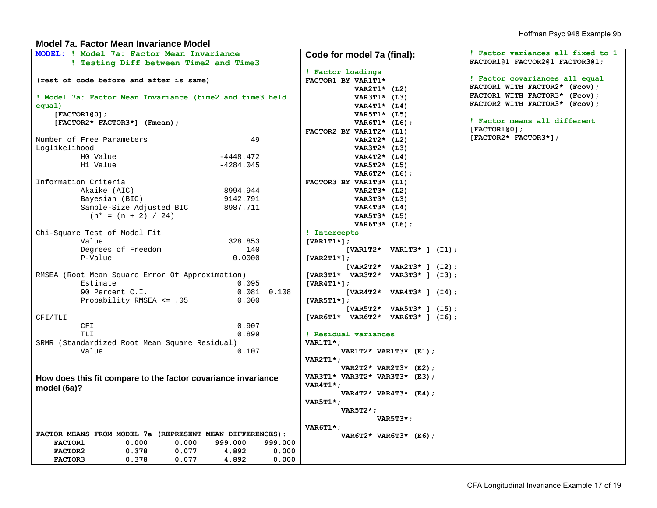#### **Model 7a. Factor Mean Invariance Model**

| MODEL: ! Model 7a: Factor Mean Invariance                     |                             | Code for model 7a (final):         | ! Factor variances all fixed to 1 |  |  |
|---------------------------------------------------------------|-----------------------------|------------------------------------|-----------------------------------|--|--|
| ! Testing Diff between Time2 and Time3                        |                             |                                    | FACTOR1@1 FACTOR2@1 FACTOR3@1;    |  |  |
|                                                               |                             | ! Factor loadings                  |                                   |  |  |
| (rest of code before and after is same)                       |                             | FACTOR1 BY VAR1T1*                 | ! Factor covariances all equal    |  |  |
|                                                               |                             | VAR2T1* $(L2)$                     | FACTOR1 WITH FACTOR2* (Fcov);     |  |  |
| ! Model 7a: Factor Mean Invariance (time2 and time3 held      |                             | VAR3T1* $(L3)$                     | FACTOR1 WITH FACTOR3* (Fcov);     |  |  |
| equal)                                                        |                             | VAR4T1* $(L4)$                     | FACTOR2 WITH FACTOR3* (Fcov);     |  |  |
| [FACTOR1@0];                                                  |                             | VAR5T1* $(L5)$                     |                                   |  |  |
| [FACTOR2* FACTOR3*] (Fmean);                                  |                             | $VART1* (L6);$                     | ! Factor means all different      |  |  |
|                                                               |                             | FACTOR2 BY VAR1T2* (L1)            | [FACTOR1@0];                      |  |  |
| Number of Free Parameters                                     | 49                          | VAR2T2 $\star$ (L2)                | [FACTOR2* FACTOR3*];              |  |  |
| Loglikelihood                                                 |                             | VAR3T2 $\star$ (L3)                |                                   |  |  |
| HO Value                                                      | $-4448.472$                 | VAR4T2* $(L4)$                     |                                   |  |  |
| H1 Value                                                      | $-4284.045$                 | VAR5T2* (L5)                       |                                   |  |  |
|                                                               |                             | VAR6T2* $(L6)$ ;                   |                                   |  |  |
| Information Criteria                                          |                             | FACTOR3 BY VAR1T3* (L1)            |                                   |  |  |
| Akaike (AIC)                                                  | 8994.944                    | VAR2T3* (L2)                       |                                   |  |  |
| Bayesian (BIC)                                                | 9142.791                    | VAR3T3* (L3)                       |                                   |  |  |
| Sample-Size Adjusted BIC                                      | 8987.711                    | VAR4T3* $(L4)$                     |                                   |  |  |
| $(n* = (n + 2) / 24)$                                         |                             | VAR5T3* (L5)                       |                                   |  |  |
|                                                               |                             | VAR6T3* $(L6)$ ;                   |                                   |  |  |
| Chi-Square Test of Model Fit                                  |                             | ! Intercepts                       |                                   |  |  |
| Value                                                         | 328.853                     | $[VART1*];$                        |                                   |  |  |
| Degrees of Freedom                                            | 140                         | $[VARIT2* VARIT3*] (I1);$          |                                   |  |  |
| P-Value                                                       | 0.0000                      | [VAR2T1 $\star$ ];                 |                                   |  |  |
|                                                               |                             | $[VAR2T2* VAR2T3*]$ (I2);          |                                   |  |  |
| RMSEA (Root Mean Square Error Of Approximation)               |                             | [VAR3T1* VAR3T2* VAR3T3* ] (I3);   |                                   |  |  |
| Estimate                                                      | 0.095                       | $[VAR4T1*]$ ;                      |                                   |  |  |
| 90 Percent C.I.                                               | $0.081$ $0.108$             | $[VAR4T2* VAR4T3*] (I4);$          |                                   |  |  |
| Probability RMSEA <= .05                                      | 0.000                       | [VAR5T1 $\star$ ];                 |                                   |  |  |
|                                                               |                             | $[VAR5T2* VAR5T3*]$ (I5);          |                                   |  |  |
| CFI/TLI                                                       |                             | $[VAR6T1* VAR6T2* VAR6T3* ] (I6);$ |                                   |  |  |
| CFI                                                           | 0.907                       |                                    |                                   |  |  |
| TLI                                                           | 0.899                       | ! Residual variances               |                                   |  |  |
| SRMR (Standardized Root Mean Square Residual)                 |                             | $VARITI*$ ;                        |                                   |  |  |
| Value                                                         | 0.107                       | VAR1T2* VAR1T3* $(E1)$ ;           |                                   |  |  |
|                                                               |                             | $VAR2T1*$ ;                        |                                   |  |  |
|                                                               |                             | VAR2T2* VAR2T3* (E2);              |                                   |  |  |
| How does this fit compare to the factor covariance invariance |                             | VAR3T1* VAR3T2* VAR3T3* $(E3)$ ;   |                                   |  |  |
| model (6a)?                                                   |                             | $VAR4T1*$ ;                        |                                   |  |  |
|                                                               |                             | VAR4T2* VAR4T3* $(E4)$ ;           |                                   |  |  |
|                                                               |                             | VAR5T1 $\star$ ;                   |                                   |  |  |
|                                                               |                             | $VAR5T2*$                          |                                   |  |  |
|                                                               |                             | $VAR5T3*$ ;                        |                                   |  |  |
|                                                               |                             | $VART1$ *;                         |                                   |  |  |
| FACTOR MEANS FROM MODEL 7a (REPRESENT MEAN DIFFERENCES):      |                             | VAR6T2* VAR6T3* $(E6)$ ;           |                                   |  |  |
| 0.000<br>FACTOR1                                              | 0.000<br>999.000<br>999.000 |                                    |                                   |  |  |
| 0.378<br>FACTOR2                                              | 0.077<br>4.892<br>0.000     |                                    |                                   |  |  |
| FACTOR3<br>0.378                                              | 0.077<br>4.892<br>0.000     |                                    |                                   |  |  |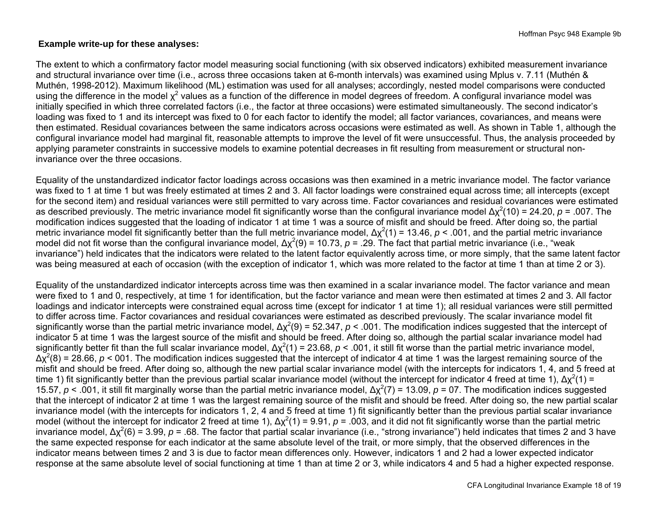### **Example write-up for these analyses:**

The extent to which a confirmatory factor model measuring social functioning (with six observed indicators) exhibited measurement invariance and structural invariance over time (i.e., across three occasions taken at 6-month intervals) was examined using Mplus v. 7.11 (Muthén & Muthén, 1998-2012). Maximum likelihood (ML) estimation was used for all analyses; accordingly, nested model comparisons were conducted using the difference in the model  $\chi^2$  values as a function of the difference in model degrees of freedom. A configural invariance model was initially specified in which three correlated factors (i.e., the factor at three occasions) were estimated simultaneously. The second indicator's loading was fixed to 1 and its intercept was fixed to 0 for each factor to identify the model; all factor variances, covariances, and means were then estimated. Residual covariances between the same indicators across occasions were estimated as well. As shown in Table 1, although the configural invariance model had marginal fit, reasonable attempts to improve the level of fit were unsuccessful. Thus, the analysis proceeded by applying parameter constraints in successive models to examine potential decreases in fit resulting from measurement or structural noninvariance over the three occasions.

Equality of the unstandardized indicator factor loadings across occasions was then examined in a metric invariance model. The factor variance was fixed to 1 at time 1 but was freely estimated at times 2 and 3. All factor loadings were constrained equal across time; all intercepts (except for the second item) and residual variances were still permitted to vary across time. Factor covariances and residual covariances were estimated as described previously. The metric invariance model fit significantly worse than the configural invariance model Δχ2(10) = 24.20, *<sup>p</sup>* = .007. The modification indices suggested that the loading of indicator 1 at time 1 was a source of misfit and should be freed. After doing so, the partial metric invariance model fit significantly better than the full metric invariance model,  $Δχ²(1) = 13.46$ ,  $p < .001$ , and the partial metric invariance model did not fit worse than the configural invariance model,  $Δχ²(9) = 10.73$ ,  $p = .29$ . The fact that partial metric invariance (i.e., "weak invariance") held indicates that the indicators were related to the latent factor equivalently across time, or more simply, that the same latent factor was being measured at each of occasion (with the exception of indicator 1, which was more related to the factor at time 1 than at time 2 or 3).

Equality of the unstandardized indicator intercepts across time was then examined in a scalar invariance model. The factor variance and mean were fixed to 1 and 0, respectively, at time 1 for identification, but the factor variance and mean were then estimated at times 2 and 3. All factor loadings and indicator intercepts were constrained equal across time (except for indicator 1 at time 1); all residual variances were still permitted to differ across time. Factor covariances and residual covariances were estimated as described previously. The scalar invariance model fit significantly worse than the partial metric invariance model,  $\Delta \chi^2(9) = 52.347$ ,  $p < .001$ . The modification indices suggested that the intercept of indicator 5 at time 1 was the largest source of the misfit and should be freed. After doing so, although the partial scalar invariance model had significantly better fit than the full scalar invariance model,  $\Delta x^2(1) = 23.68$ ,  $p < .001$ , it still fit worse than the partial metric invariance model, Δχ2(8) = 28.66, *<sup>p</sup>* < 001. The modification indices suggested that the intercept of indicator 4 at time 1 was the largest remaining source of the misfit and should be freed. After doing so, although the new partial scalar invariance model (with the intercepts for indicators 1, 4, and 5 freed at time 1) fit significantly better than the previous partial scalar invariance model (without the intercept for indicator 4 freed at time 1),  $\Delta x^2(1)$  = 15.57,  $p < 0.001$ , it still fit marginally worse than the partial metric invariance model,  $\Delta \chi^2(7) = 13.09$ ,  $p = 07$ . The modification indices suggested that the intercept of indicator 2 at time 1 was the largest remaining source of the misfit and should be freed. After doing so, the new partial scalar invariance model (with the intercepts for indicators 1, 2, 4 and 5 freed at time 1) fit significantly better than the previous partial scalar invariance model (without the intercept for indicator 2 freed at time 1),  $Δχ²(1) = 9.91$ ,  $p = .003$ , and it did not fit significantly worse than the partial metric invariance model,  $\Delta x^2(6) = 3.99$ ,  $p = .68$ . The factor that partial scalar invariance (i.e., "strong invariance") held indicates that times 2 and 3 have the same expected response for each indicator at the same absolute level of the trait, or more simply, that the observed differences in the indicator means between times 2 and 3 is due to factor mean differences only. However, indicators 1 and 2 had a lower expected indicator response at the same absolute level of social functioning at time 1 than at time 2 or 3, while indicators 4 and 5 had a higher expected response.